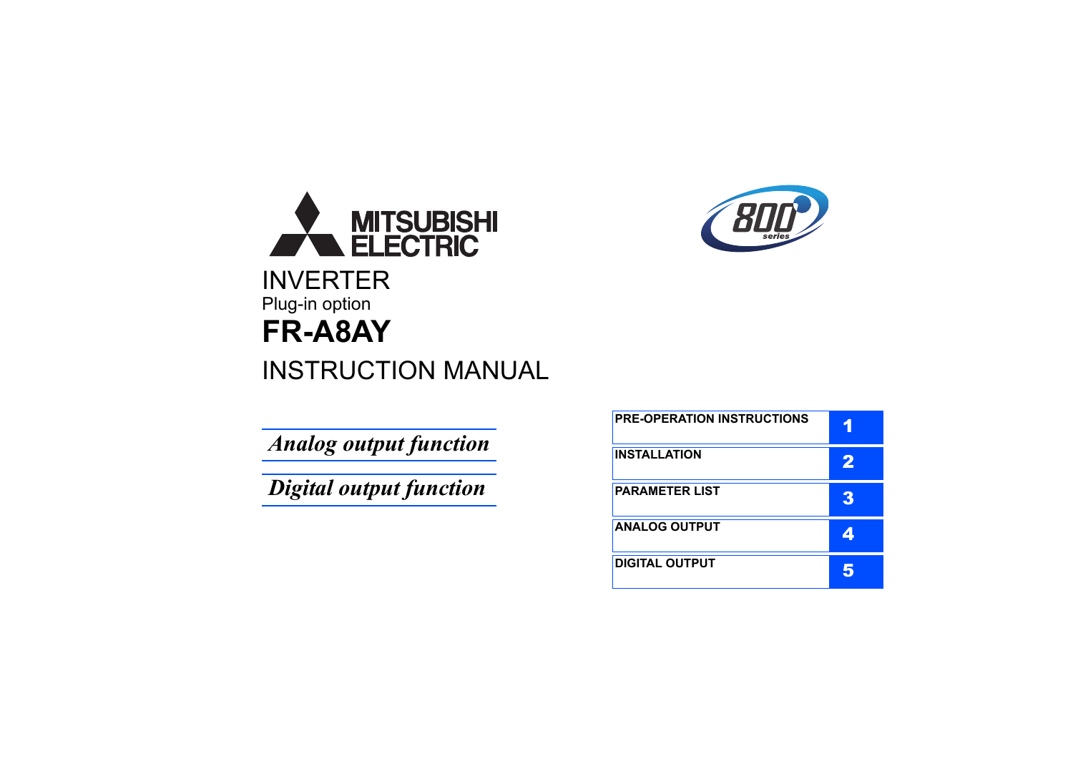

# INSTRUCTION MANUAL

*Analog output function*

*Digital output function*



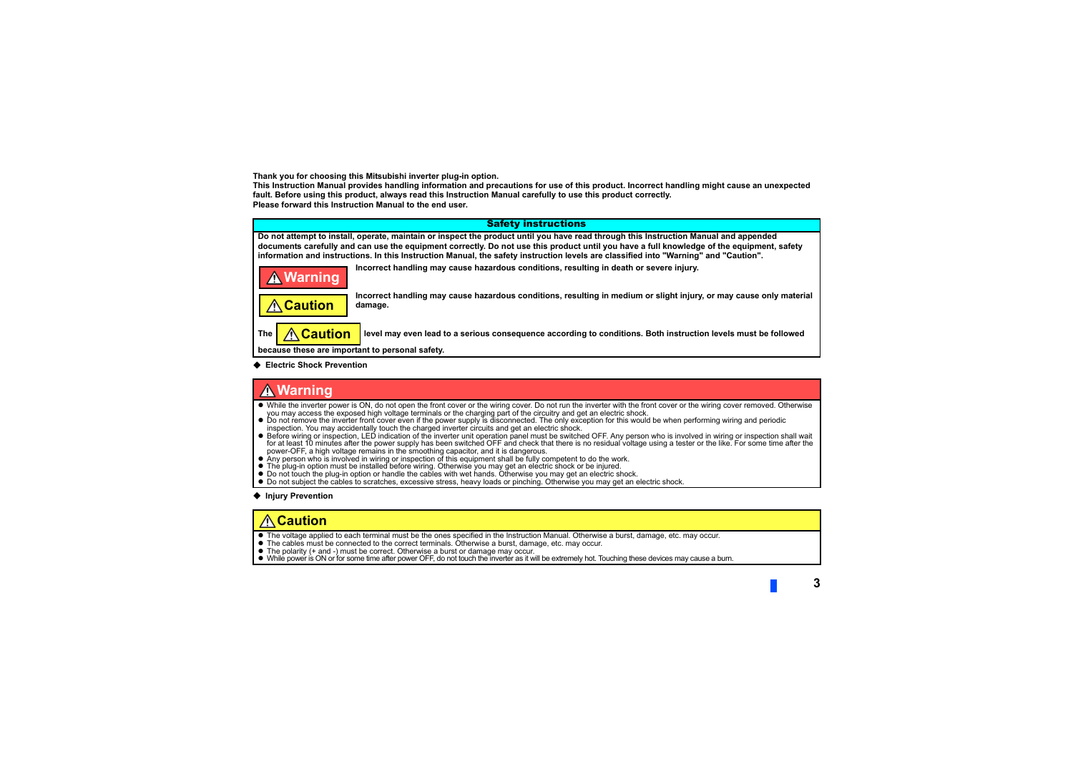**Thank you for choosing this Mitsubishi inverter plug-in option.**

**This Instruction Manual provides handling information and precautions for use of this product. Incorrect handling might cause an unexpected fault. Before using this product, always read this Instruction Manual carefully to use this product correctly. Please forward this Instruction Manual to the end user.**



٠ **Electric Shock Prevention**

### **Warning**

- While the inverter power is ON, do not open the front cover or the wiring cover. Do not run the inverter with the front cover or the wiring cover removed. Otherwise you may access the exposed high voltage terminals or the charging part of the circuitry and get an electric shock.
- Do not remove the inverter front cover even if the power supply is disconnected. The only exception for this would be when performing wiring and periodic inspection. You may accidentally touch the charged inverter circuits and get an electric shock.
- Before wiring or inspection, LED indication of the inverter unit operation panel must be switched OFF. Any person who is involved in wiring or inspection shall wait for at least 10 minutes after the power supply has been switched OFF and check that there is no residual voltage using a tester or the like. For some time after the power-OFF, a high voltage remains in the smoothing capacitor, and it is dangerous.
- Any person who is involved in wiring or inspection of this equipment shall be fully competent to do the work.
- The plug-in option must be installed before wiring. Otherwise you may get an electric shock or be injured.
- Do not touch the plug-in option or handle the cables with wet hands. Otherwise you may get an electric shock.
- Do not subject the cables to scratches, excessive stress, heavy loads or pinching. Otherwise you may get an electric shock.

#### **◆ Injury Prevention**

# **Caution**

- The voltage applied to each terminal must be the ones specified in the Instruction Manual. Otherwise a burst, damage, etc. may occur.
- The cables must be connected to the correct terminals. Otherwise a burst, damage, etc. may occur.
- The polarity (+ and -) must be correct. Otherwise a burst or damage may occur.
- While power is ON or for some time after power OFF, do not touch the inverter as it will be extremely hot. Touching these devices may cause a burn.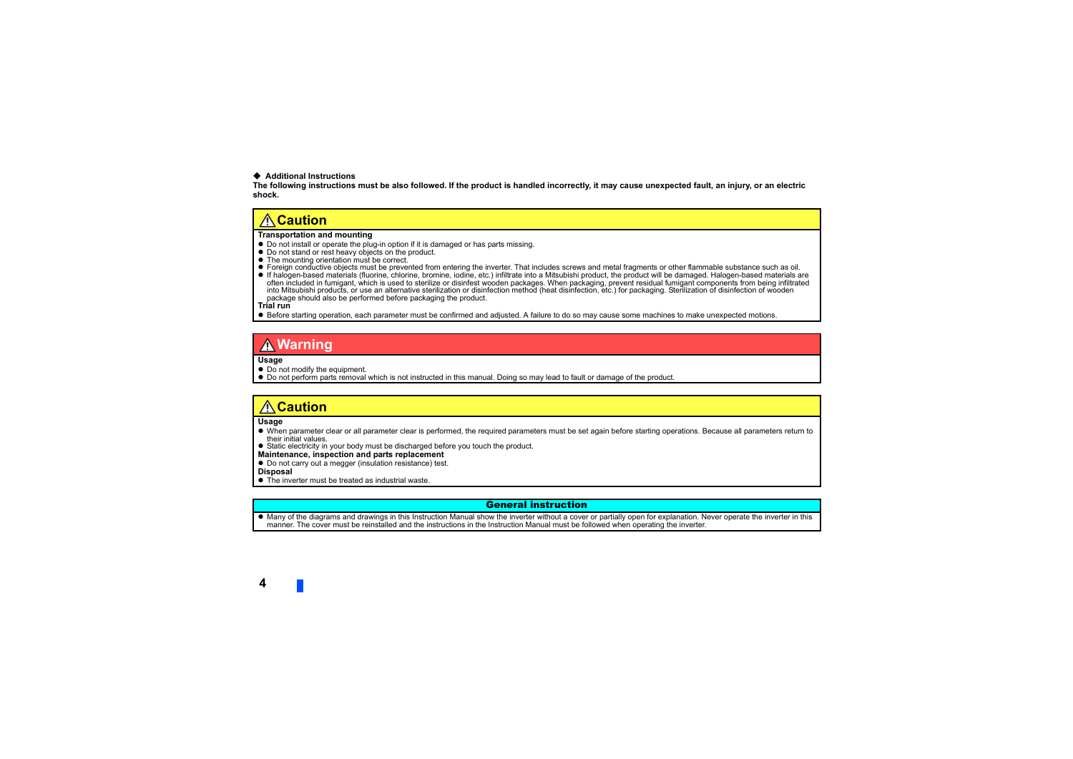#### **Additional Instructions**

**The following instructions must be also followed. If the product is handled incorrectly, it may cause unexpected fault, an injury, or an electric shock.**

#### **Caution**

#### **Transportation and mounting**

- Do not install or operate the plug-in option if it is damaged or has parts missing.
- Do not stand or rest heavy objects on the product.
- The mounting orientation must be correct.
- Foreign conductive objects must be prevented from entering the inverter. That includes screws and metal fragments or other flammable substance such as oil.
- If halogen-based materials (fluorine, chlorine, bromine, iodine, etc.) infiltrate into a Mitsubishi product, the product will be damaged. Halogen-based materials are often included in fumigant, which is used to sterilize or disinfest wooden packages. When packaging, prevent residual fumigant components from being infiltrated into Mitsubishi products, or use an alternative sterilization or disinfection method (heat disinfection, etc.) for packaging. Sterilization of disinfection of wooden package should also be performed before packaging the product.

**Trial run**

Before starting operation, each parameter must be confirmed and adjusted. A failure to do so may cause some machines to make unexpected motions.

### **Warning**

#### **Usage**

- $\bullet$  Do not modify the equipment.
- Do not perform parts removal which is not instructed in this manual. Doing so may lead to fault or damage of the product.

#### **Caution**

#### **Usage**

- When parameter clear or all parameter clear is performed, the required parameters must be set again before starting operations. Because all parameters return to their initial values.
- Static electricity in your body must be discharged before you touch the product.
- **Maintenance, inspection and parts replacement**
- Do not carry out a megger (insulation resistance) test.

#### **Disposal**

The inverter must be treated as industrial waste.

#### General instruction

 Many of the diagrams and drawings in this Instruction Manual show the inverter without a cover or partially open for explanation. Never operate the inverter in this manner. The cover must be reinstalled and the instructions in the Instruction Manual must be followed when operating the inverter.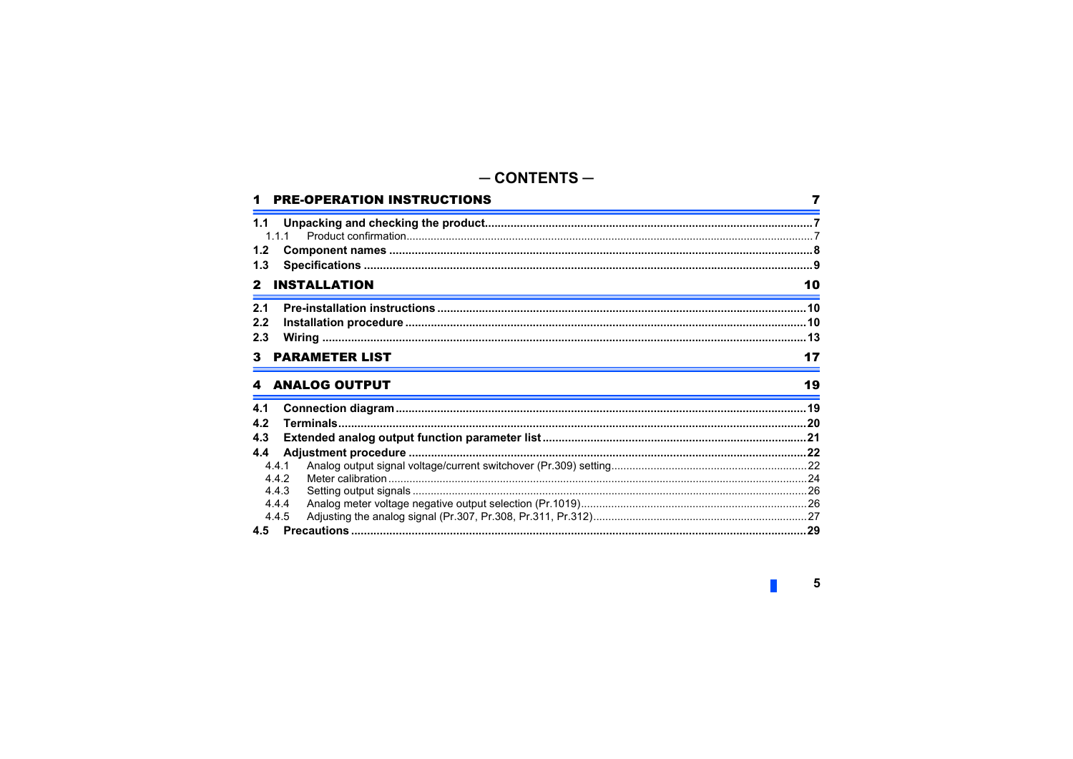#### $-$  CONTENTS  $-$ **PRE-OPERATION INSTRUCTIONS** 7 111  $1.2$  $1.3$ 2 **INSTALLATION** 10  $2<sub>1</sub>$  $2.2$  $2.3$ **PARAMETER LIST ANALOG OUTPUT** 19  $41$  $\overline{4}$  $4.3$ 4.4  $4.4.1$  $442$ 443 4.4.4 4.4.5 **45**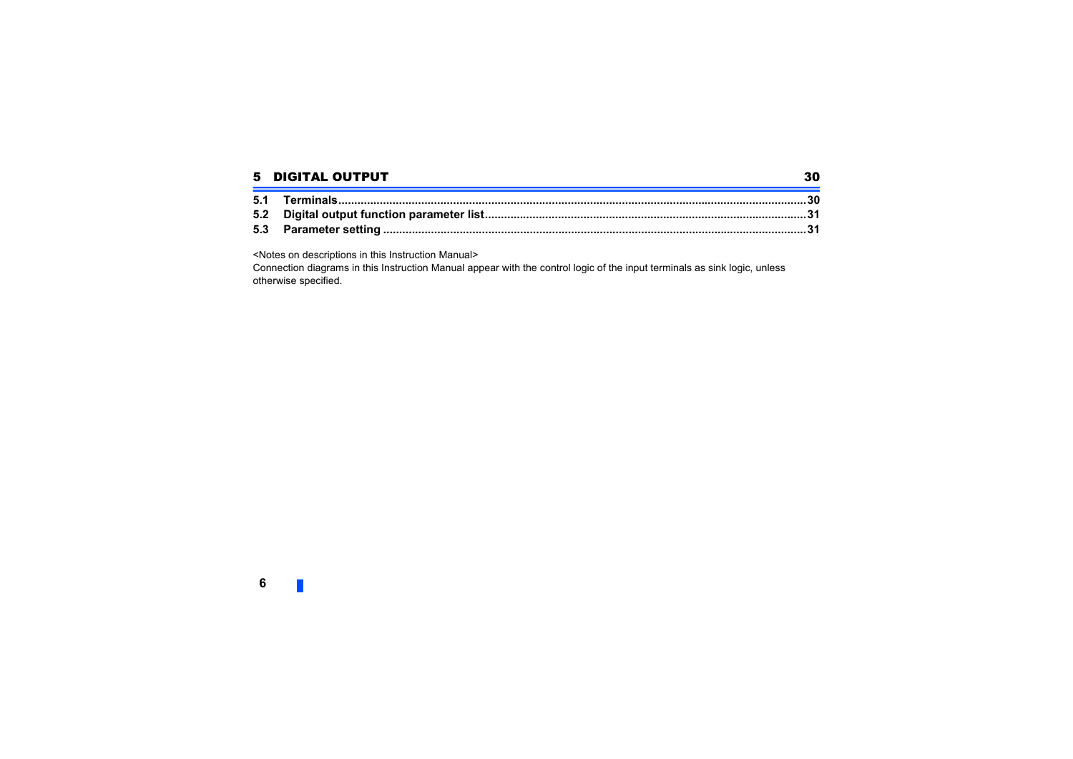#### 5 [DIGITAL OUTPUT](#page-28-1)

<Notes on descriptions in this Instruction Manual>

Connection diagrams in this Instruction Manual appear with the control logic of the input terminals as sink logic, unless otherwise specified.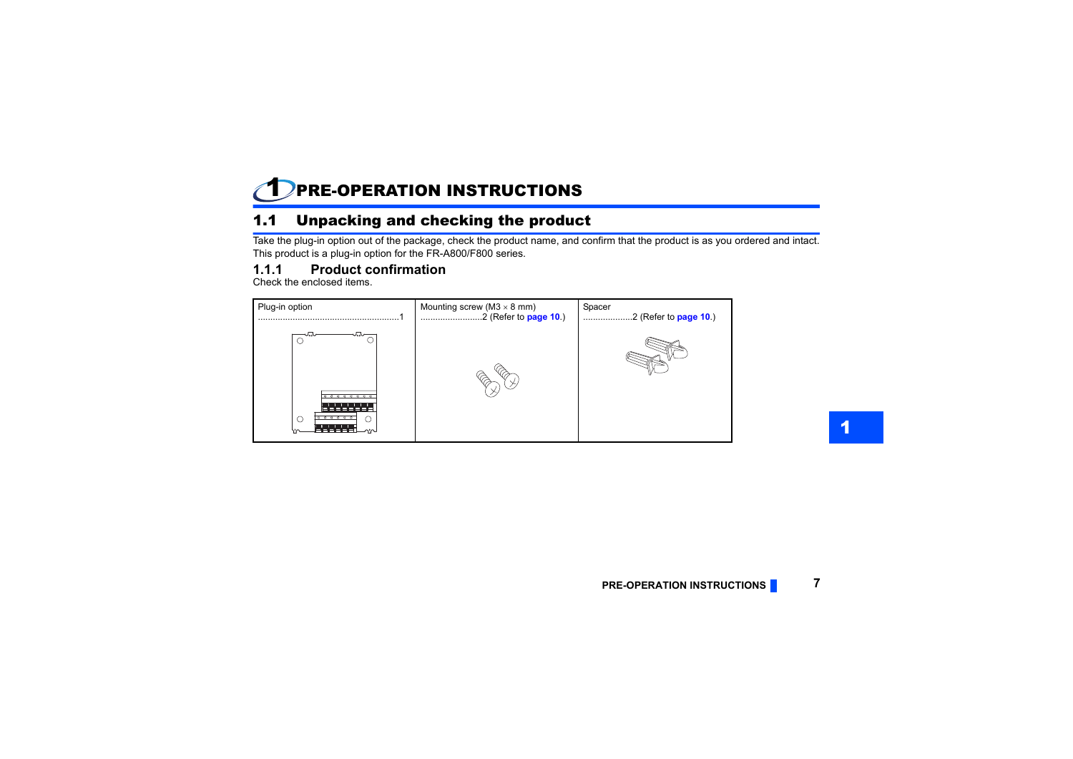#### <span id="page-5-1"></span><span id="page-5-0"></span>1PRE-OPERATION INSTRUCTIONS

# <span id="page-5-2"></span>1.1 Unpacking and checking the product

Take the plug-in option out of the package, check the product name, and confirm that the product is as you ordered and intact. This product is a plug-in option for the FR-A800/F800 series.

## <span id="page-5-3"></span>**1.1.1 Product confirmation**

Check the enclosed items.

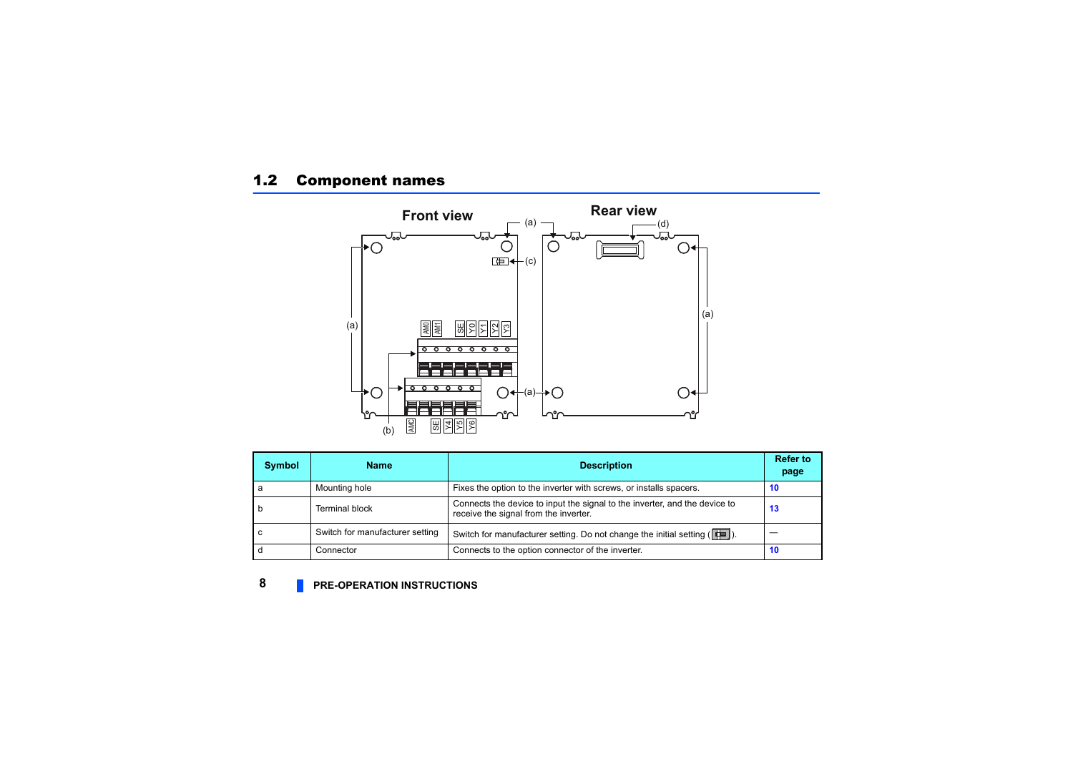# <span id="page-6-0"></span>1.2 Component names



| Symbol | <b>Name</b>                     | <b>Description</b>                                                                                                  | <b>Refer to</b><br>page |
|--------|---------------------------------|---------------------------------------------------------------------------------------------------------------------|-------------------------|
|        | Mounting hole                   | Fixes the option to the inverter with screws, or installs spacers.                                                  | 10                      |
|        | Terminal block                  | Connects the device to input the signal to the inverter, and the device to<br>receive the signal from the inverter. | 13                      |
|        | Switch for manufacturer setting | Switch for manufacturer setting. Do not change the initial setting ( $\left \right $ ).                             |                         |
|        | Connector                       | Connects to the option connector of the inverter.                                                                   | 10                      |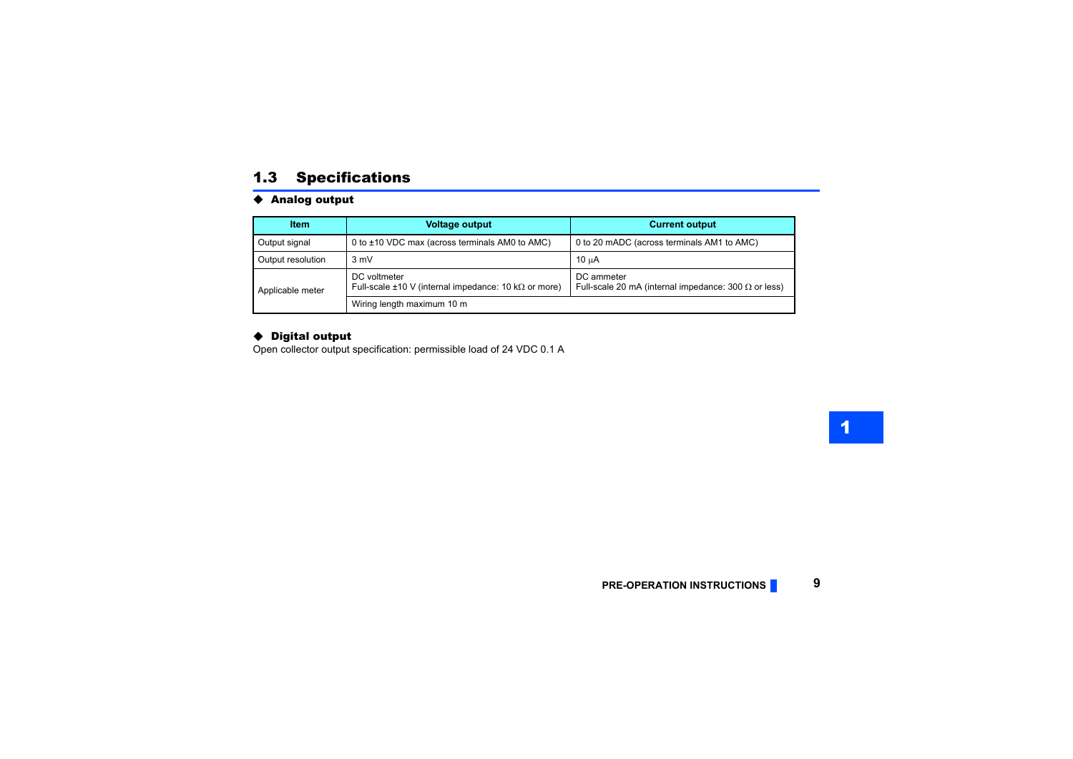### <span id="page-7-1"></span><span id="page-7-0"></span>1.3 Specifications

#### ◆ Analog output

| <b>Item</b>       | <b>Voltage output</b>                                                             | <b>Current output</b>                                                     |
|-------------------|-----------------------------------------------------------------------------------|---------------------------------------------------------------------------|
| Output signal     | 0 to ±10 VDC max (across terminals AM0 to AMC)                                    | 0 to 20 mADC (across terminals AM1 to AMC)                                |
| Output resolution | $3 \text{ mV}$                                                                    | 10 uA                                                                     |
| Applicable meter  | DC voltmeter<br>Full-scale $\pm 10$ V (internal impedance: 10 k $\Omega$ or more) | DC ammeter<br>Full-scale 20 mA (internal impedance: 300 $\Omega$ or less) |
|                   | Wiring length maximum 10 m                                                        |                                                                           |

#### ◆ Digital output

Open collector output specification: permissible load of 24 VDC 0.1 A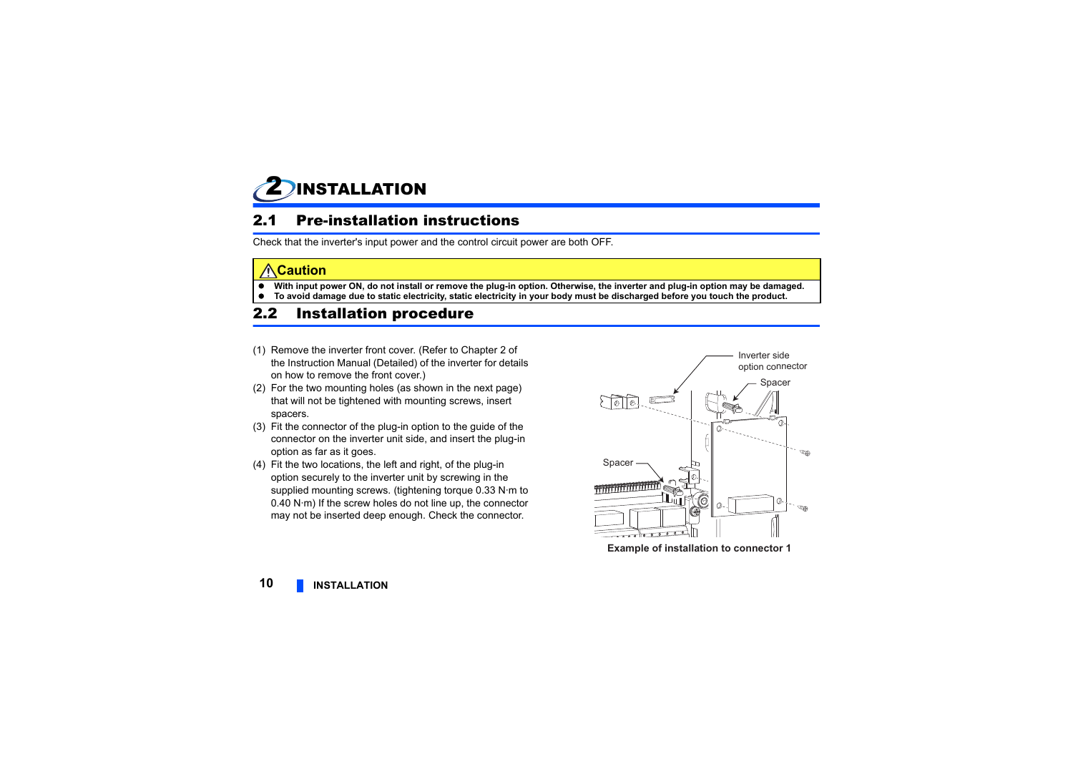<span id="page-8-1"></span><span id="page-8-0"></span>

### <span id="page-8-2"></span>2.1 Pre-installation instructions

Check that the inverter's input power and the control circuit power are both OFF.

#### **Caution**

- e **With input power ON, do not install or remove the plug-in option. Otherwise, the inverter and plug-in option may be damaged.**
- e **To avoid damage due to static electricity, static electricity in your body must be discharged before you touch the product.**

## <span id="page-8-3"></span>2.2 Installation procedure

- (1) Remove the inverter front cover. (Refer to Chapter 2 of the Instruction Manual (Detailed) of the inverter for details on how to remove the front cover.)
- (2) For the two mounting holes (as shown in the next page) that will not be tightened with mounting screws, insert spacers.
- (3) Fit the connector of the plug-in option to the guide of the connector on the inverter unit side, and insert the plug-in option as far as it goes.
- (4) Fit the two locations, the left and right, of the plug-in option securely to the inverter unit by screwing in the supplied mounting screws. (tightening torque 0.33 N·m to 0.40 N·m) If the screw holes do not line up, the connector may not be inserted deep enough. Check the connector.



**Example of installation to connector 1**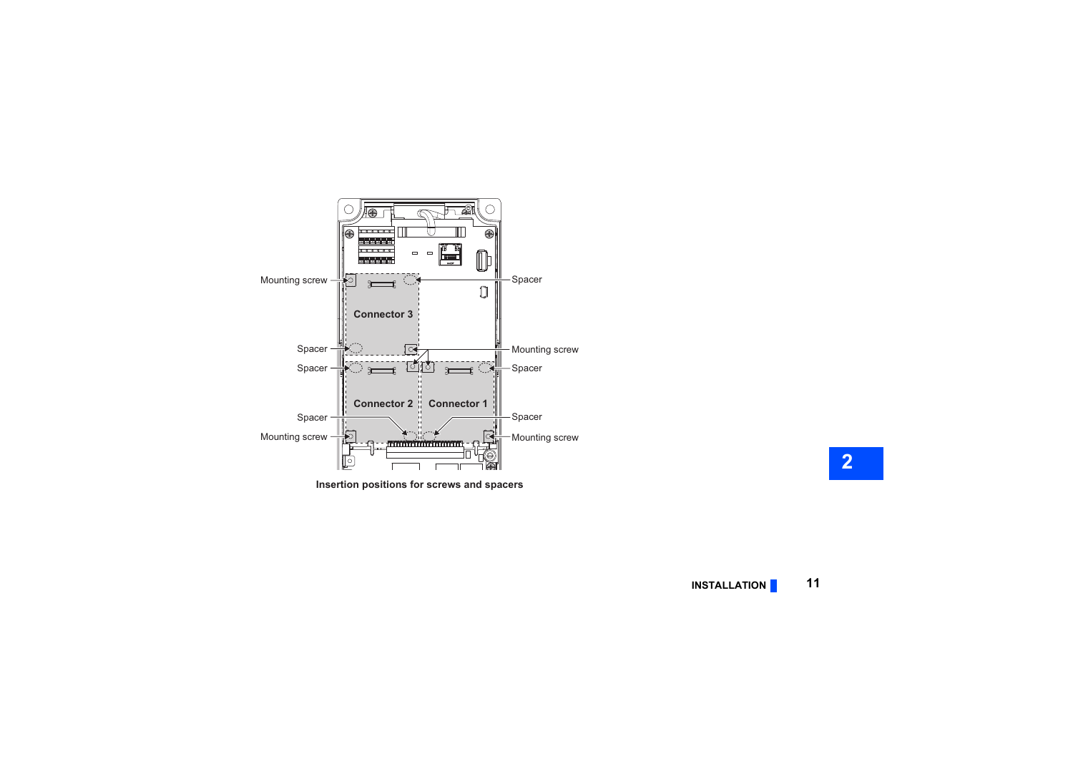

**Insertion positions for screws and spacers**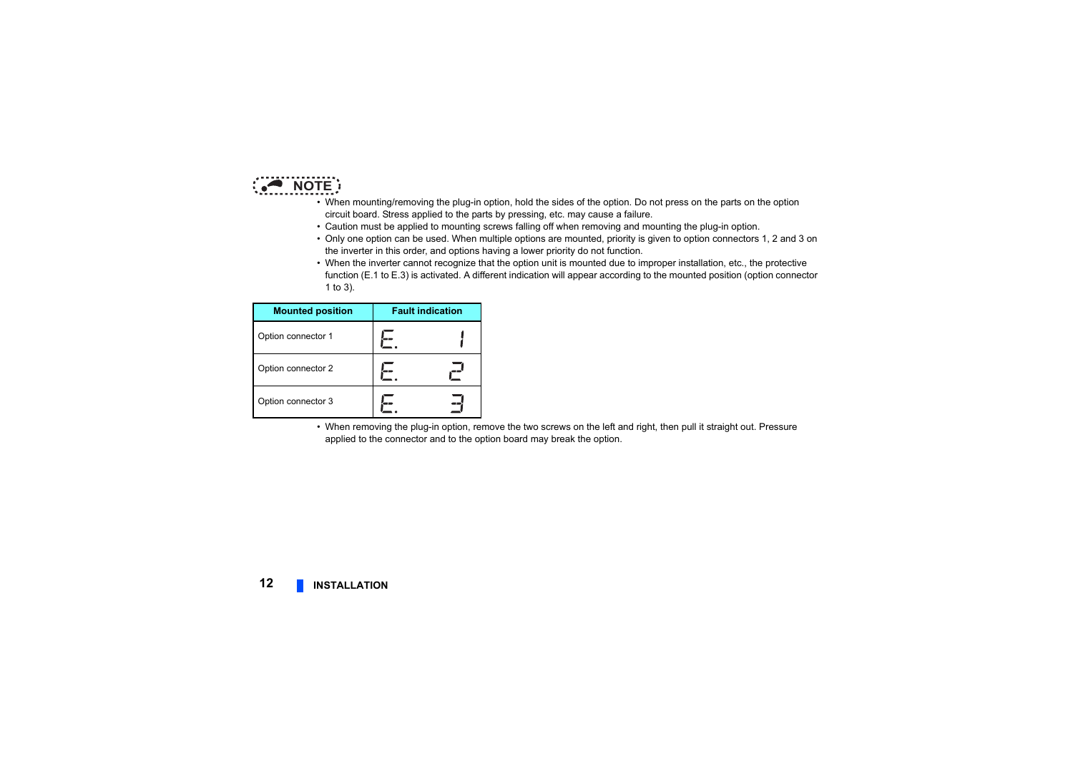

- When mounting/removing the plug-in option, hold the sides of the option. Do not press on the parts on the option circuit board. Stress applied to the parts by pressing, etc. may cause a failure.
- Caution must be applied to mounting screws falling off when removing and mounting the plug-in option.
- Only one option can be used. When multiple options are mounted, priority is given to option connectors 1, 2 and 3 on the inverter in this order, and options having a lower priority do not function.
- When the inverter cannot recognize that the option unit is mounted due to improper installation, etc., the protective function (E.1 to E.3) is activated. A different indication will appear according to the mounted position (option connector 1 to 3).

| <b>Mounted position</b> | <b>Fault indication</b> |
|-------------------------|-------------------------|
| Option connector 1      |                         |
| Option connector 2      |                         |
| Option connector 3      |                         |

 • When removing the plug-in option, remove the two screws on the left and right, then pull it straight out. Pressure applied to the connector and to the option board may break the option.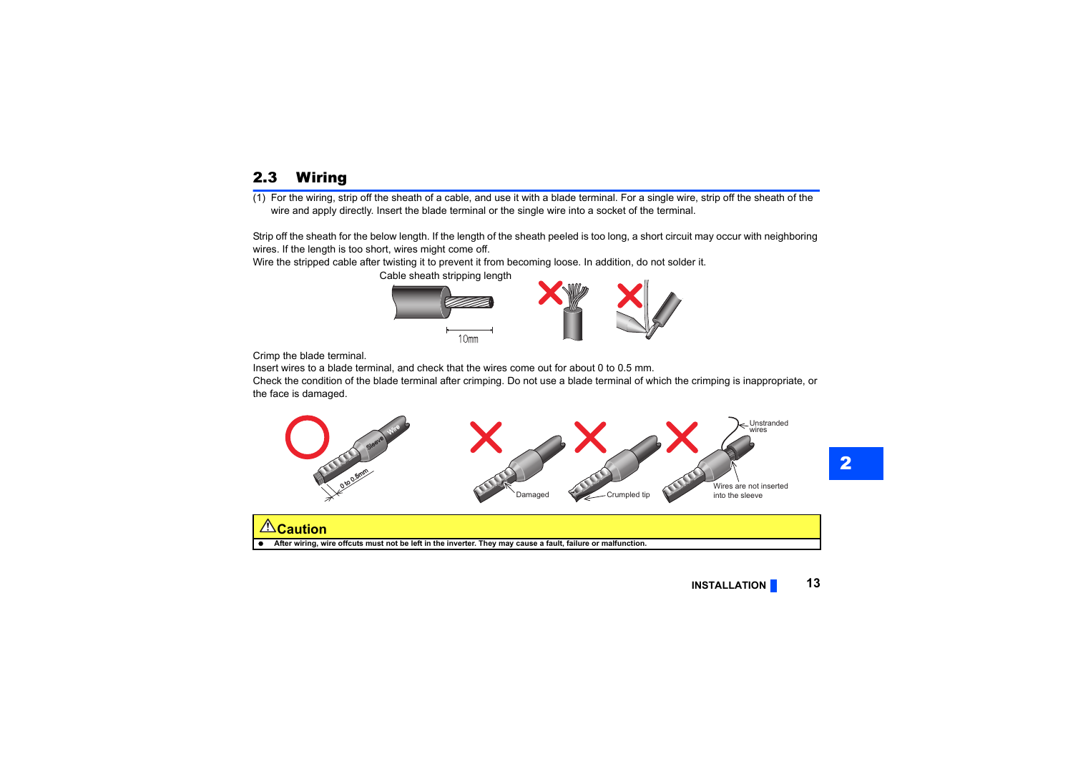# <span id="page-11-1"></span><span id="page-11-0"></span>2.3 Wiring

(1) For the wiring, strip off the sheath of a cable, and use it with a blade terminal. For a single wire, strip off the sheath of the wire and apply directly. Insert the blade terminal or the single wire into a socket of the terminal.

Strip off the sheath for the below length. If the length of the sheath peeled is too long, a short circuit may occur with neighboring wires. If the length is too short, wires might come off.

Wire the stripped cable after twisting it to prevent it from becoming loose. In addition, do not solder it.

Cable sheath stripping length



Crimp the blade terminal.

Insert wires to a blade terminal, and check that the wires come out for about 0 to 0.5 mm.

Check the condition of the blade terminal after crimping. Do not use a blade terminal of which the crimping is inappropriate, or the face is damaged.



**∆Caution** 

**After wiring, wire offcuts must not be left in the inverter. They may cause a fault, failure or malfunction.**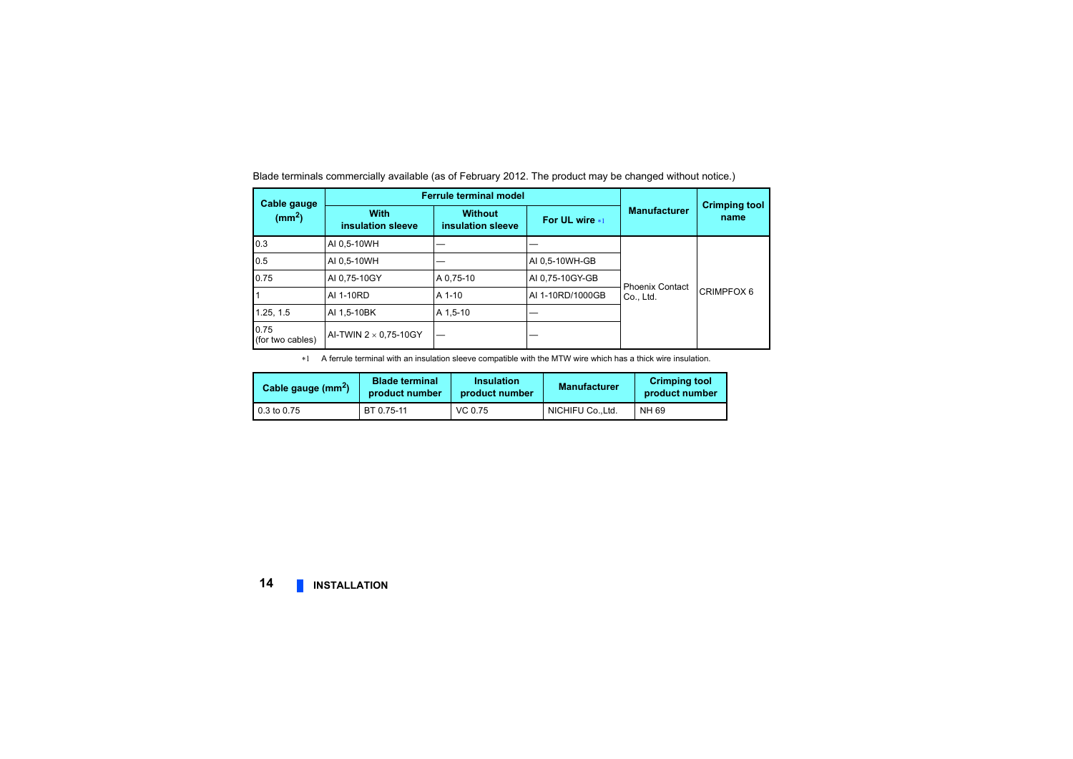**Cable gauge (mm2) Ferrule terminal modelManufacturerWith Without Crimping tool**<br> **Crimping tool**<br> **Crimping tool insulation sleeveWithout insulation sleeve For UL wire**  0.3 AI 0,5-10WH — Phoenix Contact Phoenix Contact<br>Co., Ltd. CRIMPFOX 6 0.5 AI 0,5-10WH — REPORT AI 0,5-10WH-GB 0.75 AI 0,75-10GY A 0,75-10 AI 0,75-10GY-GB 1 AI 1-10RD A 1-10 AI 1-10RD/1000GB 1.25, 1.5 AI 1,5-10BK A 1,5-10 0.75(for two cables) AI-TWIN 2  $\times$  0,75-10GY  $\left| \rule{0.2cm}{0.1cm} \right|$ 

Blade terminals commercially available (as of February 2012. The product may be changed without notice.)

 $*1$ A ferrule terminal with an insulation sleeve compatible with the MTW wire which has a thick wire insulation.

<span id="page-12-0"></span>

| Cable gauge $(mm^2)$ | <b>Blade terminal</b><br>product number | <b>Insulation</b><br>product number | <b>Manufacturer</b> | <b>Crimping tool</b><br>product number |
|----------------------|-----------------------------------------|-------------------------------------|---------------------|----------------------------------------|
| 0.3 to 0.75          | BT 0.75-11                              | VC 0.75                             | NICHIFU CoLtd.      | NH 69                                  |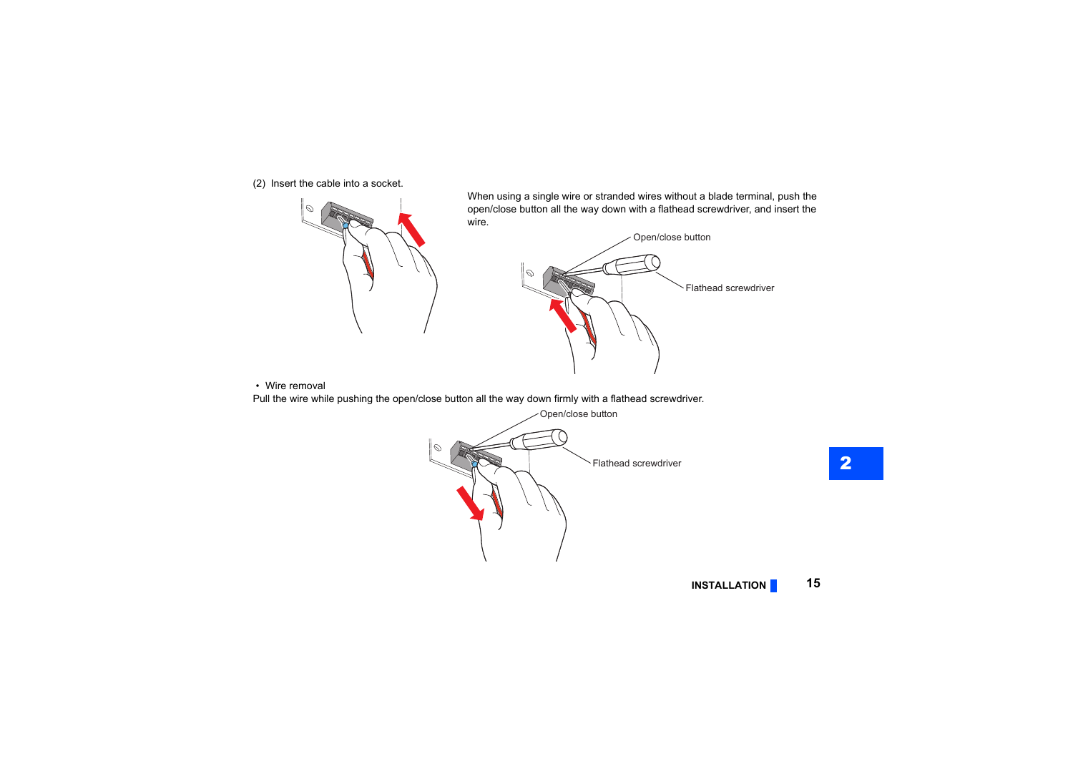(2) Insert the cable into a socket.



When using a single wire or stranded wires without a blade terminal, push the open/close button all the way down with a flathead screwdriver, and insert the wire.



• Wire removal

Pull the wire while pushing the open/close button all the way down firmly with a flathead screwdriver.

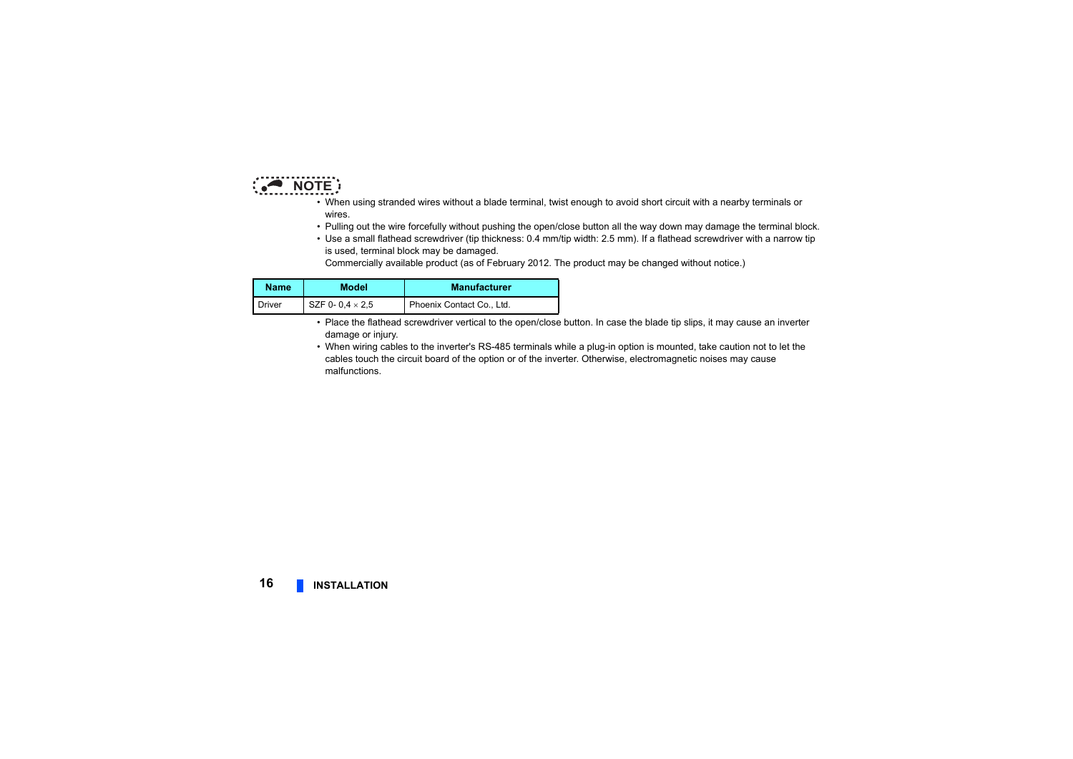

- When using stranded wires without a blade terminal, twist enough to avoid short circuit with a nearby terminals or wires.
- Pulling out the wire forcefully without pushing the open/close button all the way down may damage the terminal block.
- Use a small flathead screwdriver (tip thickness: 0.4 mm/tip width: 2.5 mm). If a flathead screwdriver with a narrow tip is used, terminal block may be damaged.

Commercially available product (as of February 2012. The product may be changed without notice.)

| <b>Name</b> | <b>Model</b>           | <b>Manufacturer</b>       |
|-------------|------------------------|---------------------------|
| Driver      | SZF 0-0.4 $\times$ 2.5 | Phoenix Contact Co., Ltd. |

- Place the flathead screwdriver vertical to the open/close button. In case the blade tip slips, it may cause an inverter damage or injury.
- When wiring cables to the inverter's RS-485 terminals while a plug-in option is mounted, take caution not to let the cables touch the circuit board of the option or of the inverter. Otherwise, electromagnetic noises may cause malfunctions.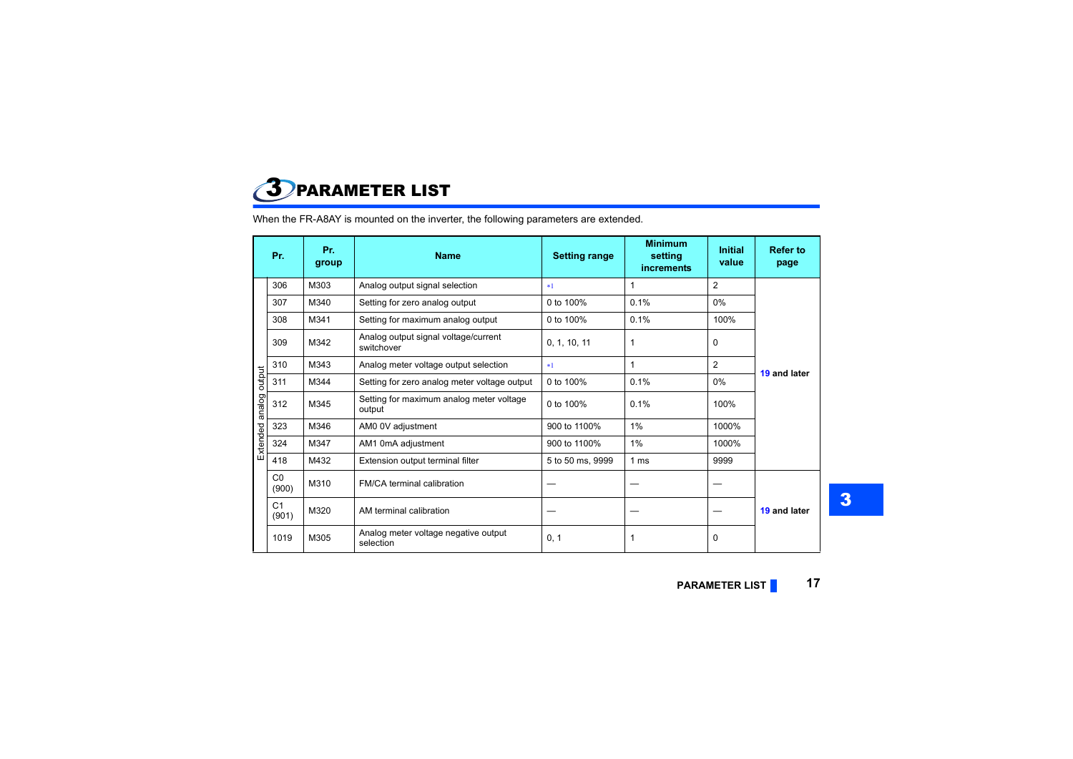<span id="page-15-1"></span><span id="page-15-0"></span>

When the FR-A8AY is mounted on the inverter, the following parameters are extended.

|               | Pr.                     | Pr.<br>group | <b>Name</b>                                        | <b>Setting range</b> | <b>Minimum</b><br>setting<br><b>increments</b> | <b>Initial</b><br>value | <b>Refer to</b><br>page |  |
|---------------|-------------------------|--------------|----------------------------------------------------|----------------------|------------------------------------------------|-------------------------|-------------------------|--|
|               | 306                     | M303         | Analog output signal selection                     | $*1$                 | $\mathbf{1}$                                   | $\overline{2}$          |                         |  |
|               | 307                     | M340         | Setting for zero analog output                     | 0 to 100%            | 0.1%                                           | $0\%$                   |                         |  |
|               | 308                     | M341         | Setting for maximum analog output                  | 0 to 100%            | 0.1%                                           | 100%                    |                         |  |
|               | 309                     | M342         | Analog output signal voltage/current<br>switchover | 0, 1, 10, 11         | 1                                              | $\Omega$                |                         |  |
|               | 310                     | M343         | Analog meter voltage output selection              | $*1$                 | $\mathbf{1}$                                   | $\overline{2}$          | 19 and later            |  |
|               | 311                     | M344         | Setting for zero analog meter voltage output       | 0 to 100%            | 0.1%                                           | $0\%$                   |                         |  |
| analog output | 312                     | M345         | Setting for maximum analog meter voltage<br>output | 0 to 100%            | 0.1%                                           | 100%                    |                         |  |
|               | 323                     | M346         | AM0 0V adjustment                                  | 900 to 1100%         | 1%                                             | 1000%                   |                         |  |
| Extended      | 324                     | M347         | AM1 0mA adjustment                                 | 900 to 1100%         | 1%                                             | 1000%                   |                         |  |
|               | 418                     | M432         | Extension output terminal filter                   | 5 to 50 ms, 9999     | 1 ms                                           | 9999                    |                         |  |
|               | C <sub>0</sub><br>(900) | M310         | FM/CA terminal calibration                         |                      |                                                |                         |                         |  |
|               | C <sub>1</sub><br>(901) | M320         | AM terminal calibration                            |                      |                                                |                         | 19 and later            |  |
|               | 1019                    | M305         | Analog meter voltage negative output<br>selection  | 0, 1                 | 1                                              | $\Omega$                |                         |  |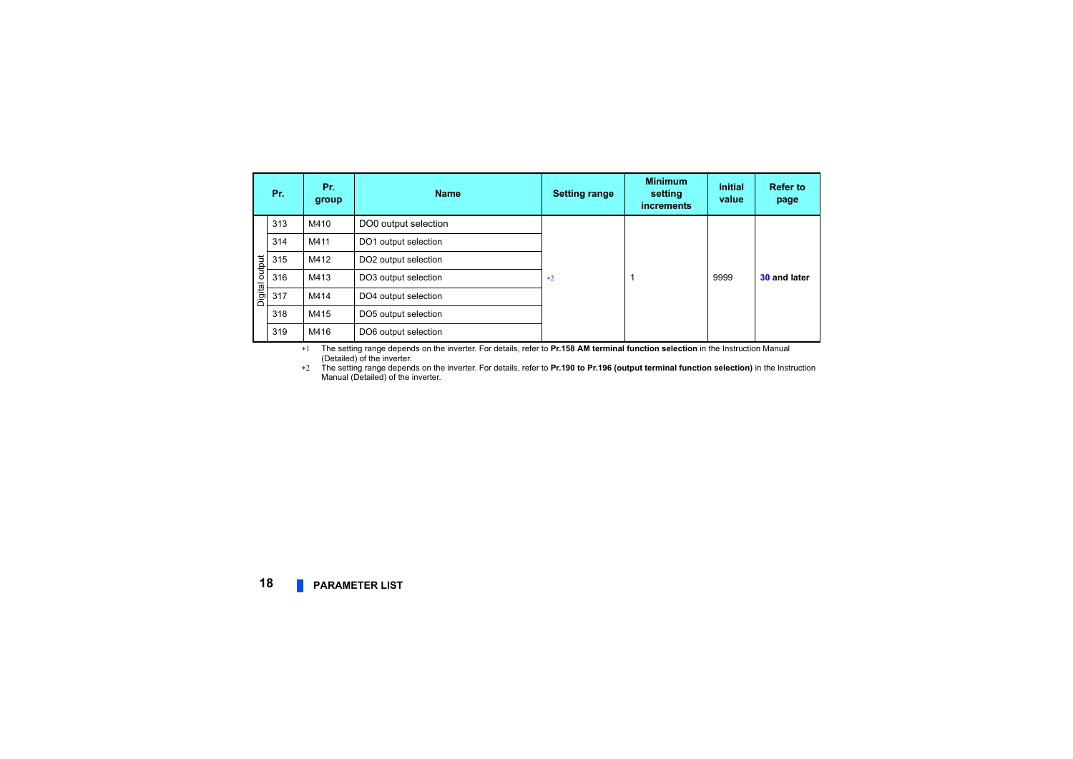|         | Pr. | Pr.<br>group | <b>Name</b>          | <b>Setting range</b> | <b>Minimum</b><br>setting<br><b>increments</b> | <b>Initial</b><br>value | <b>Refer to</b><br>page |  |
|---------|-----|--------------|----------------------|----------------------|------------------------------------------------|-------------------------|-------------------------|--|
|         | 313 | M410         | DO0 output selection |                      |                                                |                         |                         |  |
|         | 314 | M411         | DO1 output selection |                      |                                                |                         |                         |  |
| output  | 315 | M412         | DO2 output selection |                      |                                                |                         |                         |  |
|         | 316 | M413         | DO3 output selection | $*2$                 |                                                | 9999                    | 30 and later            |  |
| Digital | 317 | M414         | DO4 output selection |                      |                                                |                         |                         |  |
|         | 318 | M415         | DO5 output selection |                      |                                                |                         |                         |  |
|         | 319 | M416         | DO6 output selection |                      |                                                |                         |                         |  |

<span id="page-16-0"></span> The setting range depends on the inverter. For details, refer to **Pr.158 AM terminal function selection** in the Instruction Manual (Detailed) of the inverter.

<span id="page-16-1"></span> The setting range depends on the inverter. For details, refer to **Pr.190 to Pr.196 (output terminal function selection)** in the Instruction Manual (Detailed) of the inverter.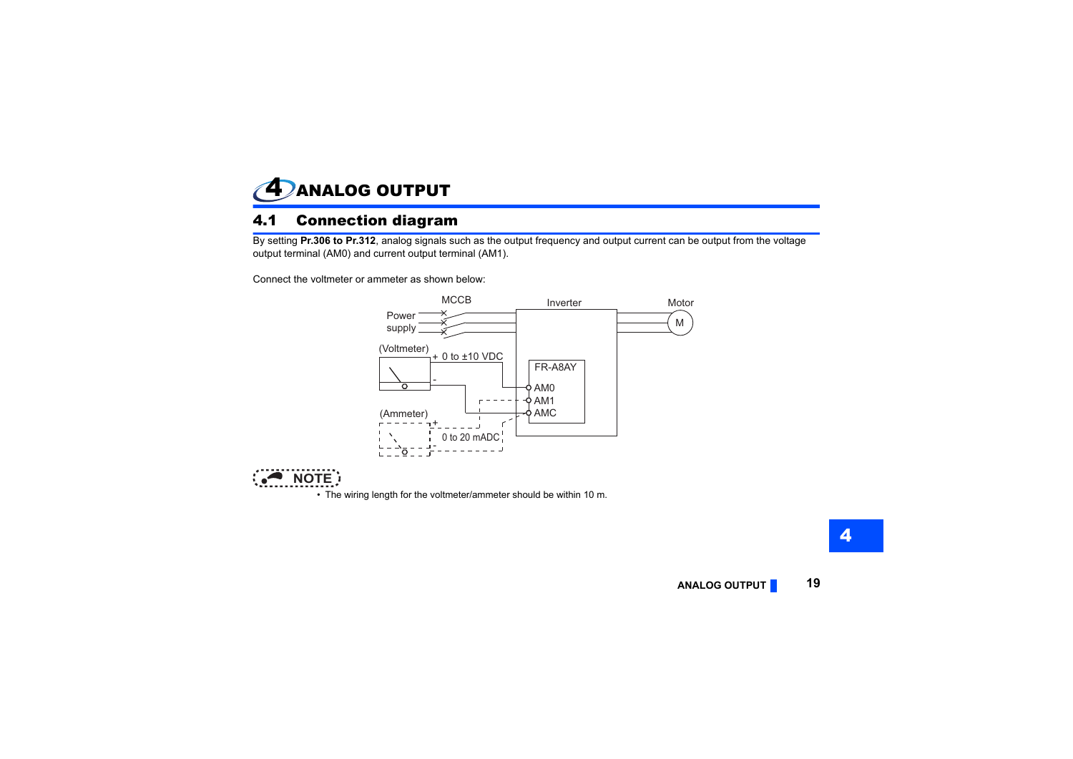<span id="page-17-1"></span><span id="page-17-0"></span>

#### <span id="page-17-2"></span>4.1 Connection diagram

By setting **Pr.306 to Pr.312**, analog signals such as the output frequency and output current can be output from the voltage output terminal (AM0) and current output terminal (AM1).

Connect the voltmeter or ammeter as shown below:





• The wiring length for the voltmeter/ammeter should be within 10 m.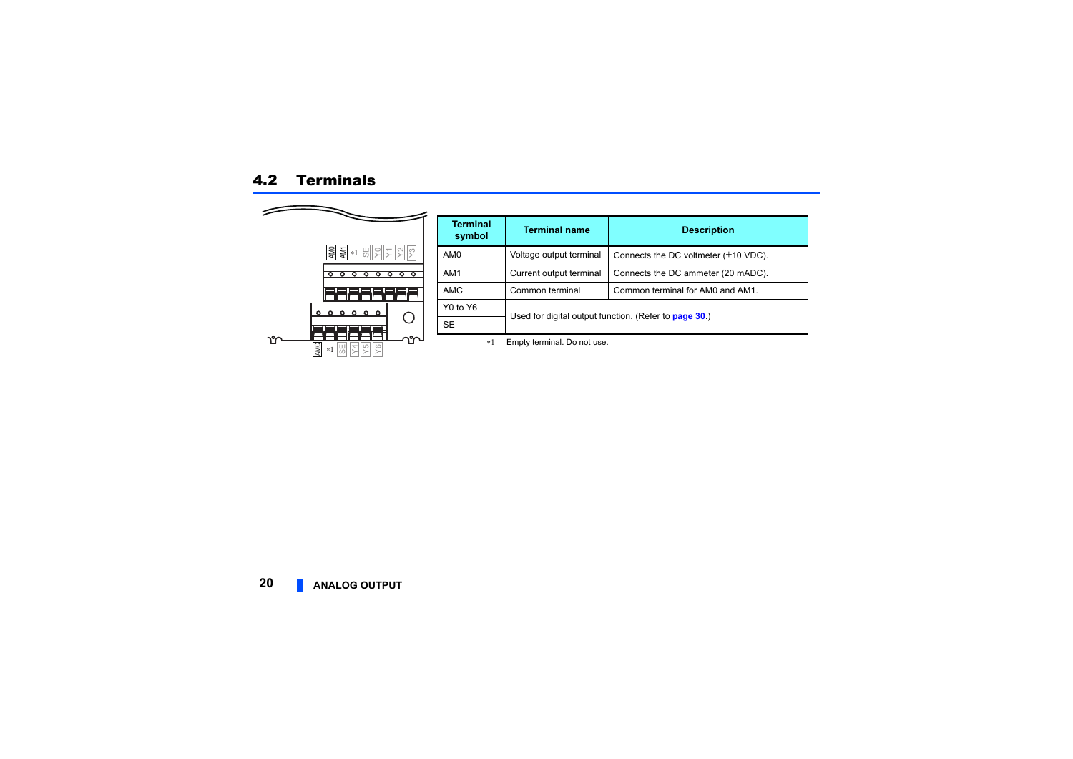<span id="page-18-0"></span>

| <b>Terminal</b><br>symbol | <b>Terminal name</b>                                  | <b>Description</b>                                 |  |  |
|---------------------------|-------------------------------------------------------|----------------------------------------------------|--|--|
| AM <sub>0</sub>           | Voltage output terminal                               | Connects the DC voltmeter $(\pm 10 \text{ VDC})$ . |  |  |
| AM <sub>1</sub>           | Current output terminal                               | Connects the DC ammeter (20 mADC).                 |  |  |
| <b>AMC</b>                | Common terminal<br>Common terminal for AM0 and AM1.   |                                                    |  |  |
| Y0 to Y6                  |                                                       |                                                    |  |  |
| <b>SE</b>                 | Used for digital output function. (Refer to page 30.) |                                                    |  |  |

Empty terminal. Do not use.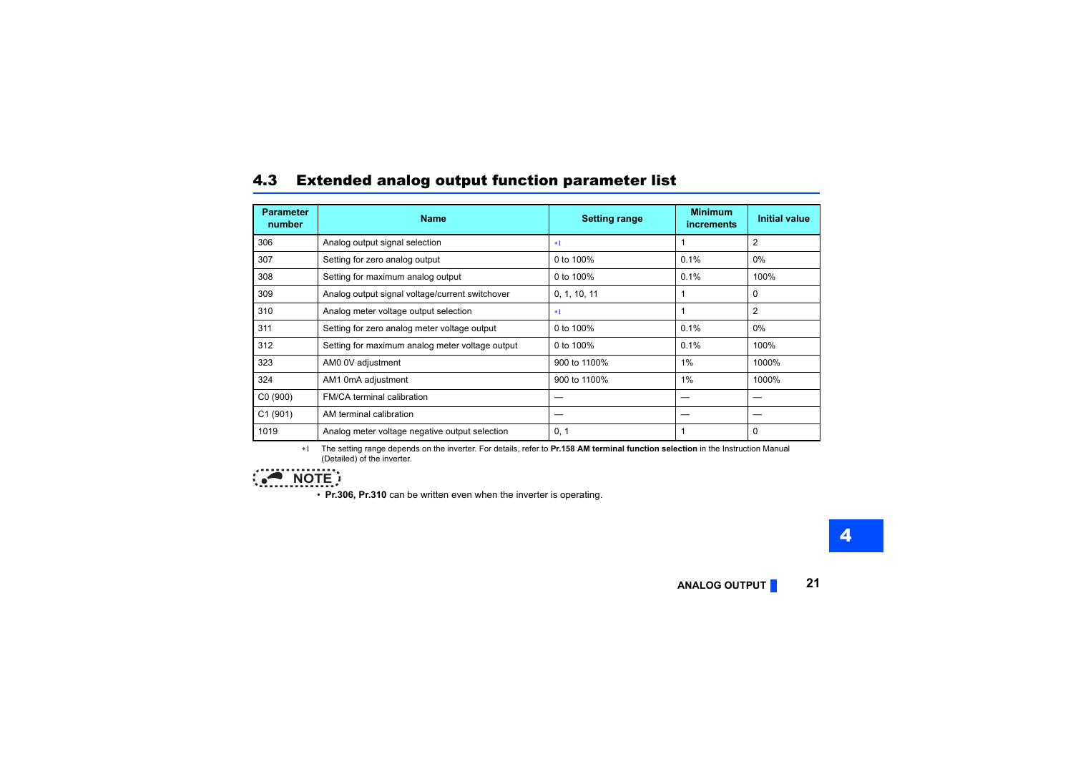### <span id="page-19-0"></span>4.3 Extended analog output function parameter list

| <b>Parameter</b><br>number | <b>Name</b>                                     | <b>Setting range</b> | <b>Minimum</b><br><i>increments</i> | <b>Initial value</b> |
|----------------------------|-------------------------------------------------|----------------------|-------------------------------------|----------------------|
| 306                        | Analog output signal selection                  | $*1$                 |                                     | $\overline{2}$       |
| 307                        | Setting for zero analog output                  | 0 to 100%            | 0.1%                                | $0\%$                |
| 308                        | Setting for maximum analog output               | 0 to 100%            | 0.1%                                | 100%                 |
| 309                        | Analog output signal voltage/current switchover | 0, 1, 10, 11         | 1                                   | $\Omega$             |
| 310                        | Analog meter voltage output selection           | $*1$                 |                                     | 2                    |
| 311                        | Setting for zero analog meter voltage output    | 0 to 100%            | 0.1%                                | 0%                   |
| 312                        | Setting for maximum analog meter voltage output | 0 to 100%            | 0.1%                                | 100%                 |
| 323                        | AM0 0V adjustment                               | 900 to 1100%         | 1%                                  | 1000%                |
| 324                        | AM1 0mA adjustment                              | 900 to 1100%         | 1%                                  | 1000%                |
| C <sub>0</sub> (900)       | <b>FM/CA terminal calibration</b>               |                      |                                     |                      |
| C1(901)                    | AM terminal calibration                         |                      |                                     |                      |
| 1019                       | Analog meter voltage negative output selection  | 0, 1                 |                                     | 0                    |

 $*1$  The setting range depends on the inverter. For details, refer to **Pr.158 AM terminal function selection** in the Instruction Manual (Detailed) of the inverter.

<span id="page-19-1"></span>

• **Pr.306, Pr.310** can be written even when the inverter is operating.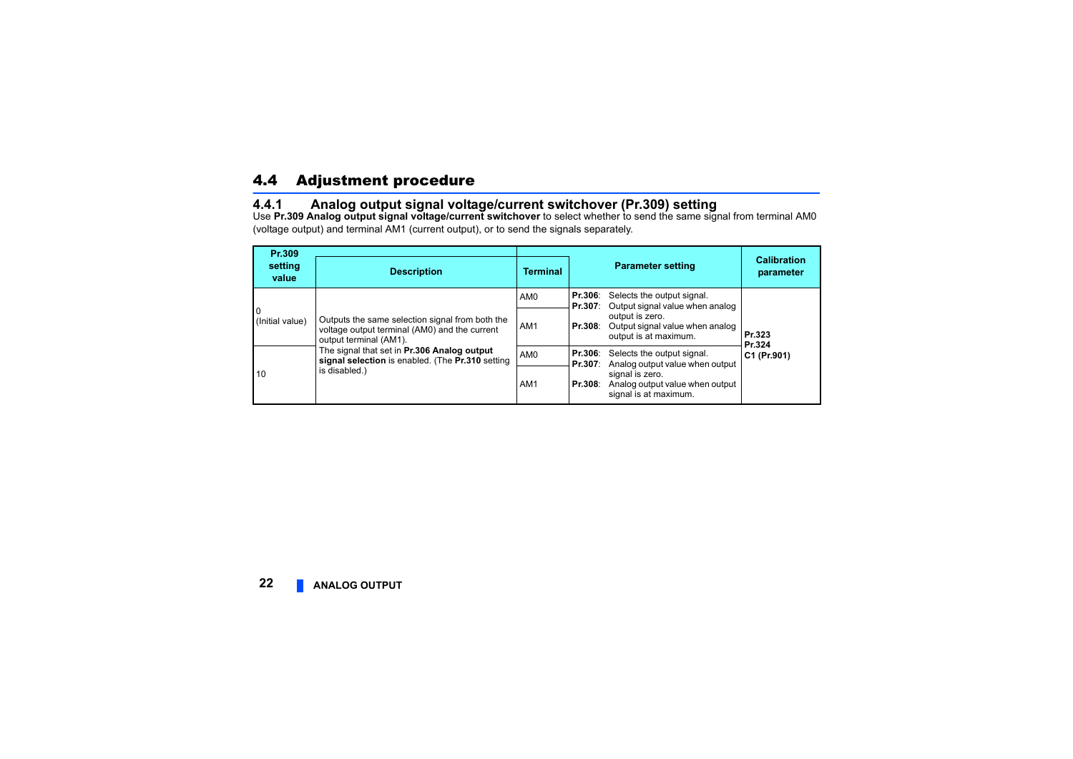# <span id="page-20-0"></span>4.4 Adjustment procedure

#### <span id="page-20-1"></span>**4.4.1 Analog output signal voltage/current switchover (Pr.309) setting**

Use **Pr.309 Analog output signal voltage/current switchover** to select whether to send the same signal from terminal AM0 (voltage output) and terminal AM1 (current output), or to send the signals separately.

| Pr.309               |                                                                                                                            |                 |                                                                                        |                                 |
|----------------------|----------------------------------------------------------------------------------------------------------------------------|-----------------|----------------------------------------------------------------------------------------|---------------------------------|
| setting<br>value     | <b>Description</b>                                                                                                         | <b>Terminal</b> | <b>Parameter setting</b>                                                               | <b>Calibration</b><br>parameter |
|                      |                                                                                                                            | AM <sub>0</sub> | Selects the output signal.<br>Pr.306:<br>Output signal value when analog<br>Pr.307:    |                                 |
| 0<br>(Initial value) | Outputs the same selection signal from both the<br>voltage output terminal (AM0) and the current<br>output terminal (AM1). | AM <sub>1</sub> | output is zero.<br>Output signal value when analog<br>Pr.308:<br>output is at maximum. | Pr.323<br>Pr.324                |
|                      | The signal that set in Pr.306 Analog output<br>signal selection is enabled. (The Pr.310 setting                            | AM <sub>0</sub> | Selects the output signal.<br>Pr.306:<br>Analog output value when output<br>Pr.307:    | C1 (Pr.901)                     |
| 10                   | is disabled.)                                                                                                              | AM <sub>1</sub> | signal is zero.<br>Analog output value when output<br>Pr.308:<br>signal is at maximum. |                                 |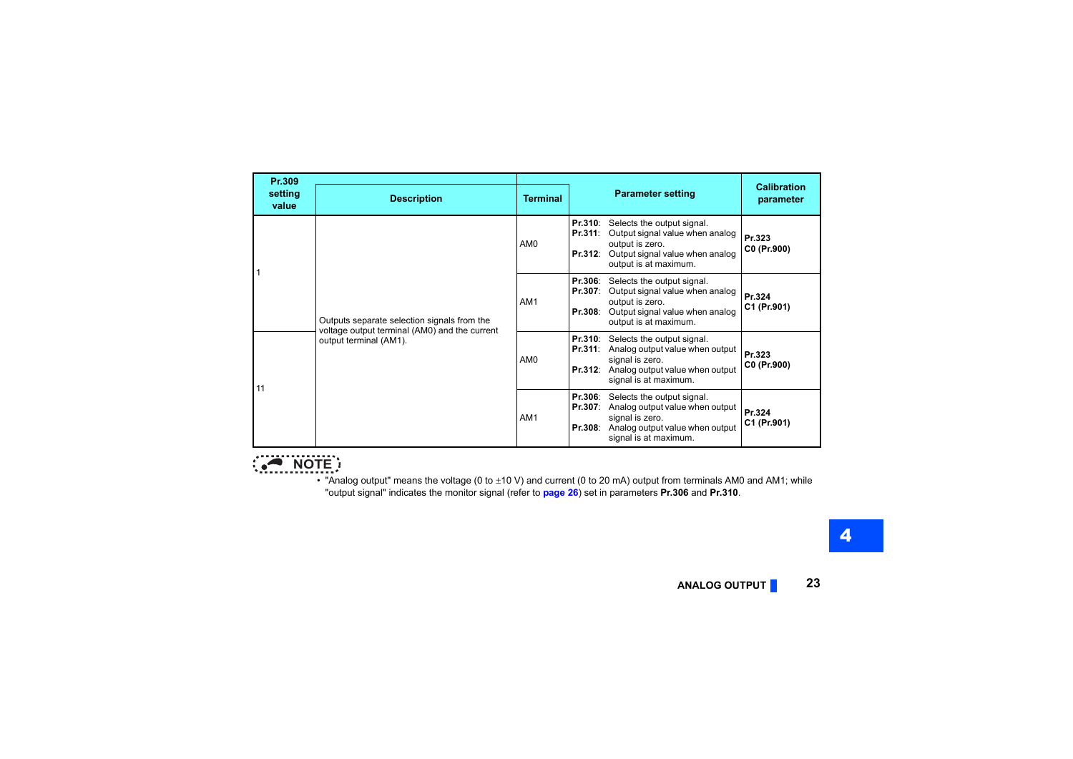| Pr.309<br>setting<br>value | <b>Description</b>                                                                                                     | <b>Terminal</b> | <b>Parameter setting</b>                                                                                                                                                              | <b>Calibration</b><br>parameter |
|----------------------------|------------------------------------------------------------------------------------------------------------------------|-----------------|---------------------------------------------------------------------------------------------------------------------------------------------------------------------------------------|---------------------------------|
|                            |                                                                                                                        | AM <sub>0</sub> | <b>Pr.310:</b> Selects the output signal.<br>Pr.311:<br>Output signal value when analog<br>output is zero.<br>Output signal value when analog<br>Pr.312:<br>output is at maximum.     | Pr.323<br>C0 (Pr.900)           |
|                            | Outputs separate selection signals from the<br>voltage output terminal (AM0) and the current<br>output terminal (AM1). | AM1             | Selects the output signal.<br>Pr.306:<br>Output signal value when analog<br>Pr.307:<br>output is zero.<br>Output signal value when analog<br>Pr.308:<br>output is at maximum.         | Pr.324<br>C1 (Pr.901)           |
|                            |                                                                                                                        | AM <sub>0</sub> | <b>Pr.310:</b> Selects the output signal.<br>Analog output value when output<br>Pr.311:<br>signal is zero.<br><b>Pr.312:</b> Analog output value when output<br>signal is at maximum. | Pr.323<br>C0 (Pr.900)           |
| 11                         |                                                                                                                        | AM <sub>1</sub> | <b>Pr.306:</b> Selects the output signal.<br>Pr.307:<br>Analog output value when output<br>signal is zero.<br>Analog output value when output<br>Pr.308:<br>signal is at maximum.     | Pr.324<br>C1 (Pr.901)           |

# **NOTE**

• "Analog output" means the voltage (0 to  $\pm$ 10 V) and current (0 to 20 mA) output from terminals AM0 and AM1; while "output signal" indicates the monitor signal (refer to **[page 26](#page-24-0)**) set in parameters **Pr.306** and **Pr.310**.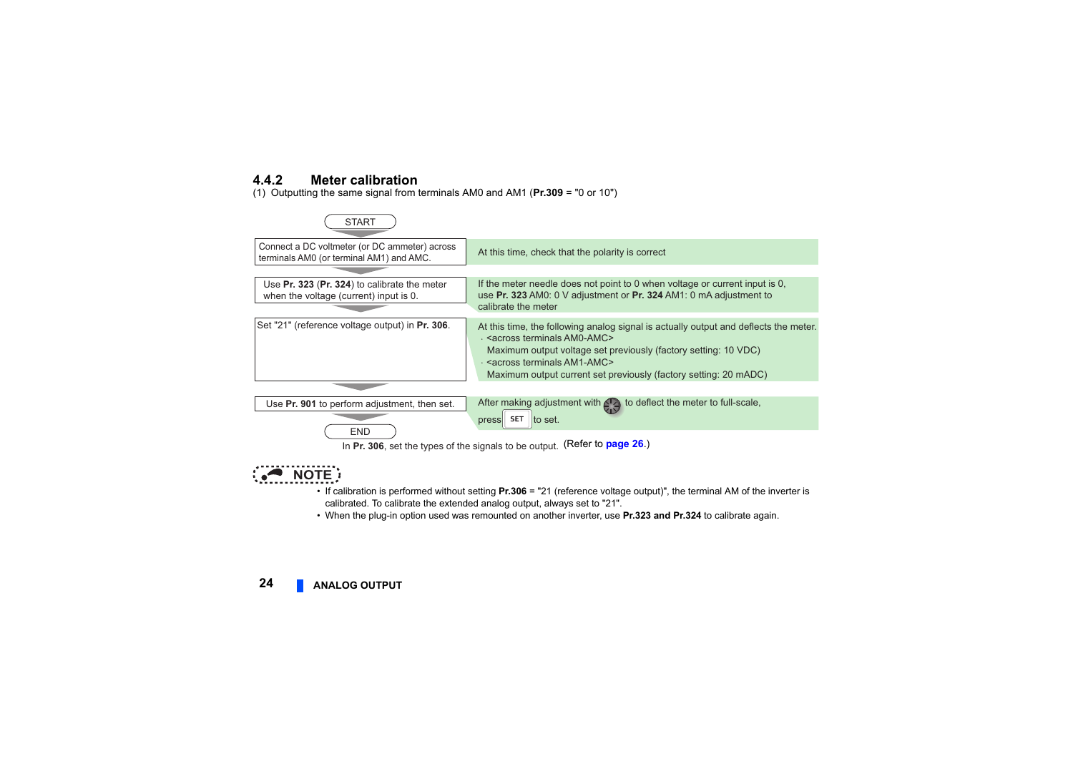#### <span id="page-22-0"></span>**4.4.2 Meter calibration**

(1) Outputting the same signal from terminals AM0 and AM1 (**Pr.309** <sup>=</sup>"0 or 10")



# **• NOTE**

- If calibration is performed without setting **Pr.306** <sup>=</sup>"21 (reference voltage output)", the terminal AM of the inverter is calibrated. To calibrate the extended analog output, always set to "21".
- When the plug-in option used was remounted on another inverter, use **Pr.323 and Pr.324** to calibrate again.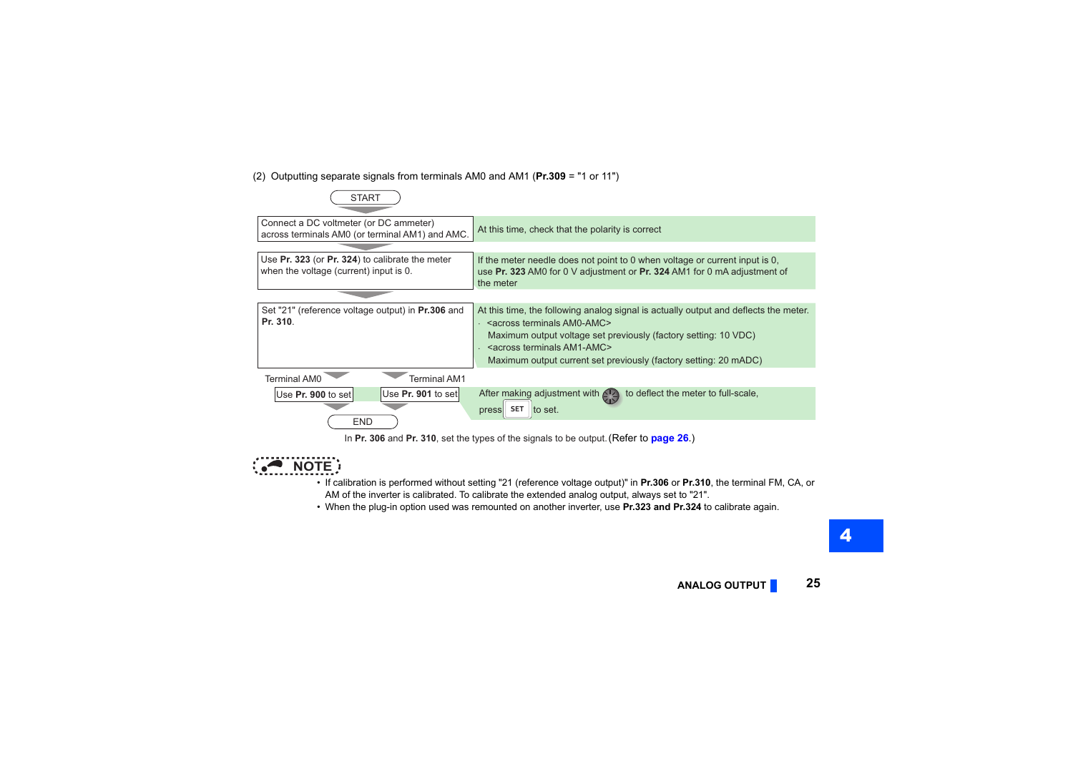#### (2) Outputting separate signals from terminals AM0 and AM1 (**Pr.309** <sup>=</sup>"1 or 11")



**NOTE** 

- If calibration is performed without setting "21 (reference voltage output)" in **Pr.306** or **Pr.310**, the terminal FM, CA, or AM of the inverter is calibrated. To calibrate the extended analog output, always set to "21".
- When the plug-in option used was remounted on another inverter, use **Pr.323 and Pr.324** to calibrate again.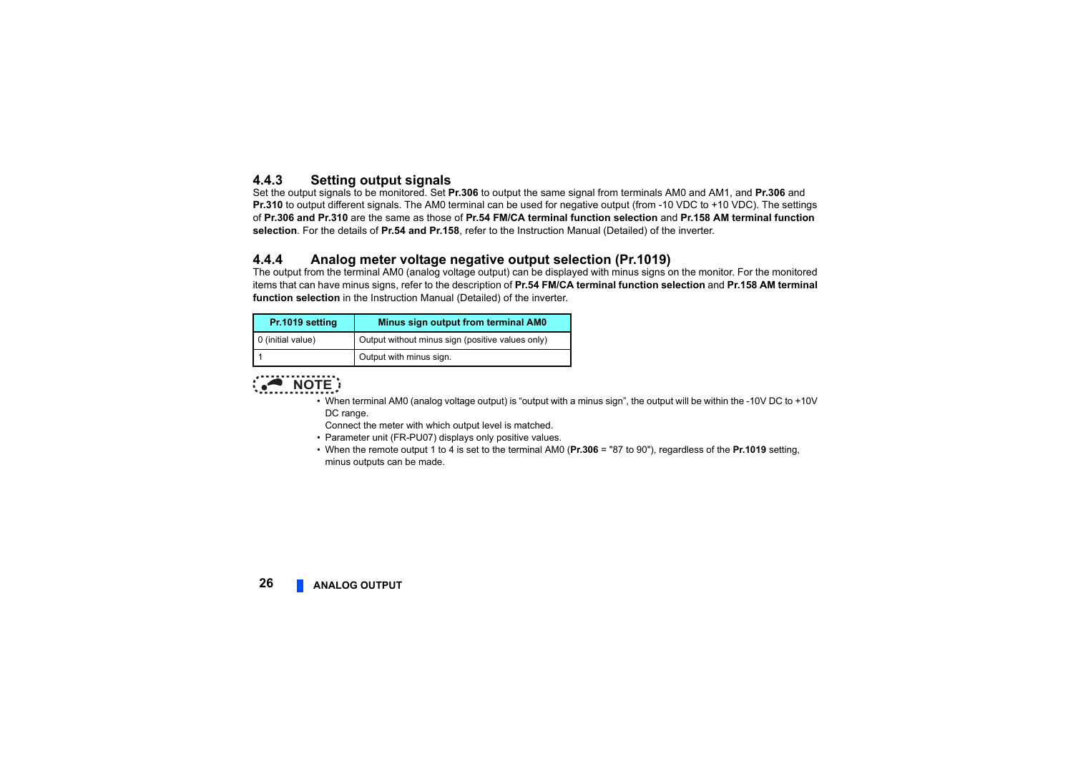#### <span id="page-24-0"></span>**4.4.3 Setting output signals**

Set the output signals to be monitored. Set **Pr.306** to output the same signal from terminals AM0 and AM1, and **Pr.306** and **Pr.310** to output different signals. The AM0 terminal can be used for negative output (from -10 VDC to +10 VDC). The settings of **Pr.306 and Pr.310** are the same as those of **Pr.54 FM/CA terminal function selection** and **Pr.158 AM terminal function selection**. For the details of **Pr.54 and Pr.158**, refer to the Instruction Manual (Detailed) of the inverter.

#### <span id="page-24-1"></span>**4.4.4 Analog meter voltage negative output selection (Pr.1019)**

The output from the terminal AM0 (analog voltage output) can be displayed with minus signs on the monitor. For the monitored items that can have minus signs, refer to the description of **Pr.54 FM/CA terminal function selection** and **Pr.158 AM terminal function selection** in the Instruction Manual (Detailed) of the inverter.

| Pr.1019 setting   | Minus sign output from terminal AM0              |  |
|-------------------|--------------------------------------------------|--|
| 0 (initial value) | Output without minus sign (positive values only) |  |
|                   | Output with minus sign.                          |  |



 • When terminal AM0 (analog voltage output) is "output with a minus sign", the output will be within the -10V DC to +10V DC range.

Connect the meter with which output level is matched.

- Parameter unit (FR-PU07) displays only positive values.
- When the remote output 1 to 4 is set to the terminal AM0 (**Pr.306** = "87 to 90"), regardless of the **Pr.1019** setting, minus outputs can be made.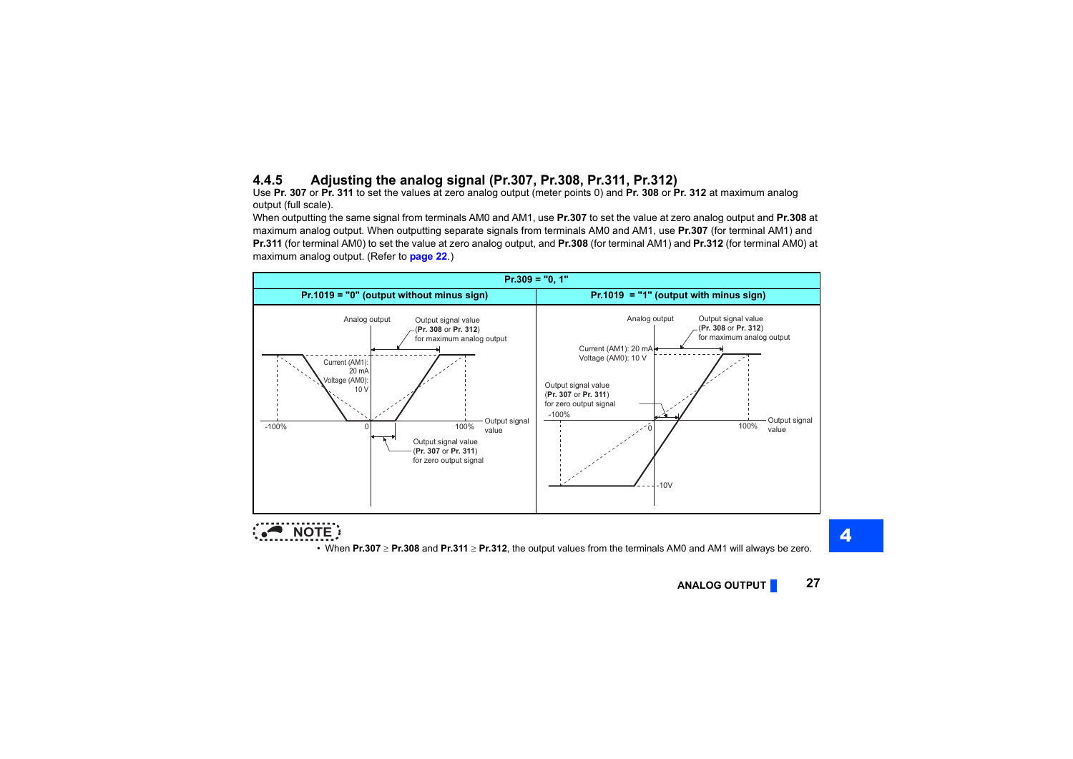## <span id="page-25-0"></span>**4.4.5 Adjusting the analog signal (Pr.307, Pr.308, Pr.311, Pr.312)**

Use **Pr. 307** or **Pr. 311** to set the values at zero analog output (meter points 0) and **Pr. 308** or **Pr. 312** at maximum analog output (full scale).

When outputting the same signal from terminals AM0 and AM1, use **Pr.307** to set the value at zero analog output and **Pr.308** at maximum analog output. When outputting separate signals from terminals AM0 and AM1, use **Pr.307** (for terminal AM1) and **Pr.311** (for terminal AM0) to set the value at zero analog output, and **Pr.308** (for terminal AM1) and **Pr.312** (for terminal AM0) at maximum analog output. (Refer to **[page 22](#page-20-1)**.)



**NOTE**

• When **Pr.307 Pr.308** and **Pr.311 Pr.312**, the output values from the terminals AM0 and AM1 will always be zero.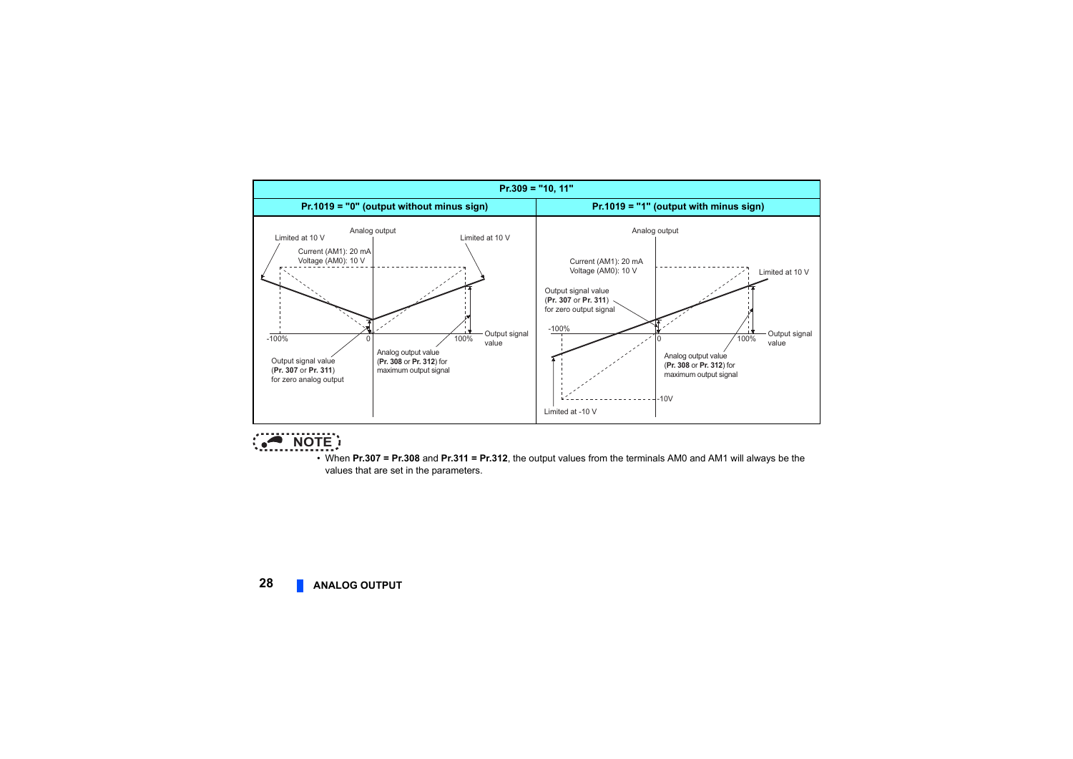



 • When **Pr.307 = Pr.308** and **Pr.311 = Pr.312**, the output values from the terminals AM0 and AM1 will always be the values that are set in the parameters.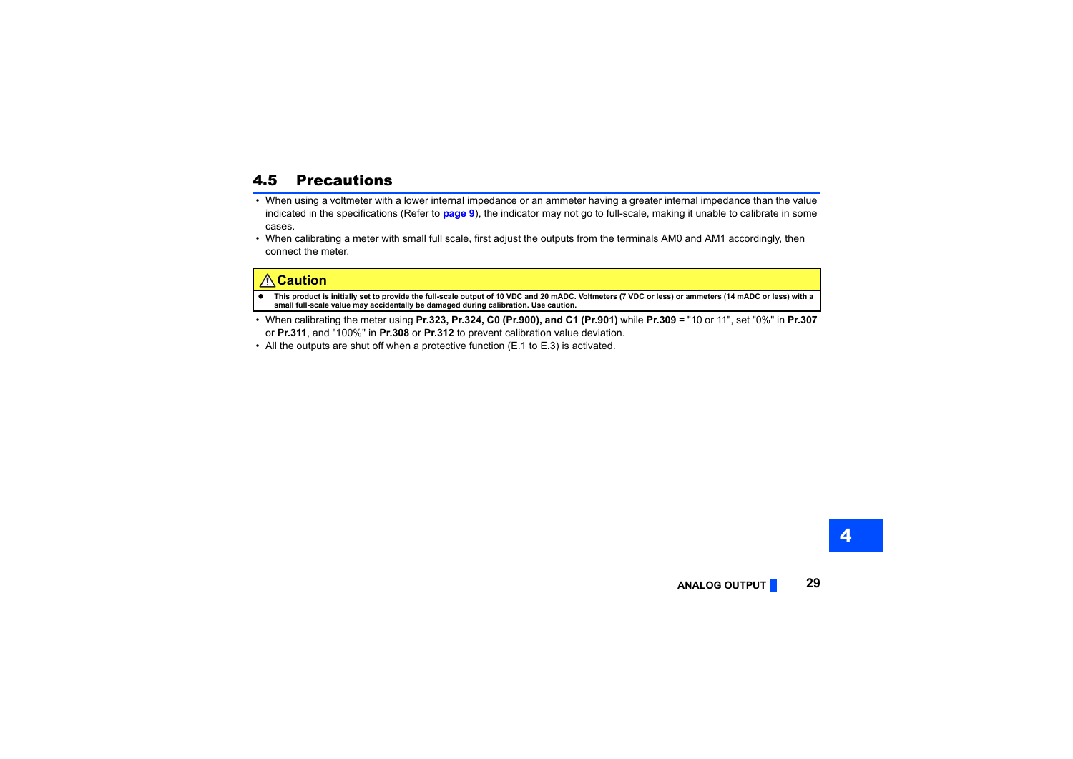# <span id="page-27-0"></span>4.5 Precautions

- When using a voltmeter with a lower internal impedance or an ammeter having a greater internal impedance than the value indicated in the specifications (Refer to **[page 9](#page-7-1)**), the indicator may not go to full-scale, making it unable to calibrate in some cases.
- When calibrating a meter with small full scale, first adjust the outputs from the terminals AM0 and AM1 accordingly, then connect the meter.

#### **Caution**

- G **This product is initially set to provide the full-scale output of 10 VDC and 20 mADC. Voltmeters (7 VDC or less) or ammeters (14 mADC or less) with a small full-scale value may accidentally be damaged during calibration. Use caution.**
- When calibrating the meter using **Pr.323, Pr.324, C0 (Pr.900), and C1 (Pr.901)** while **Pr.309** <sup>=</sup>"10 or 11", set "0%" in **Pr.307** or **Pr.311**, and "100%" in **Pr.308** or **Pr.312** to prevent calibration value deviation.
- All the outputs are shut off when a protective function (E.1 to E.3) is activated.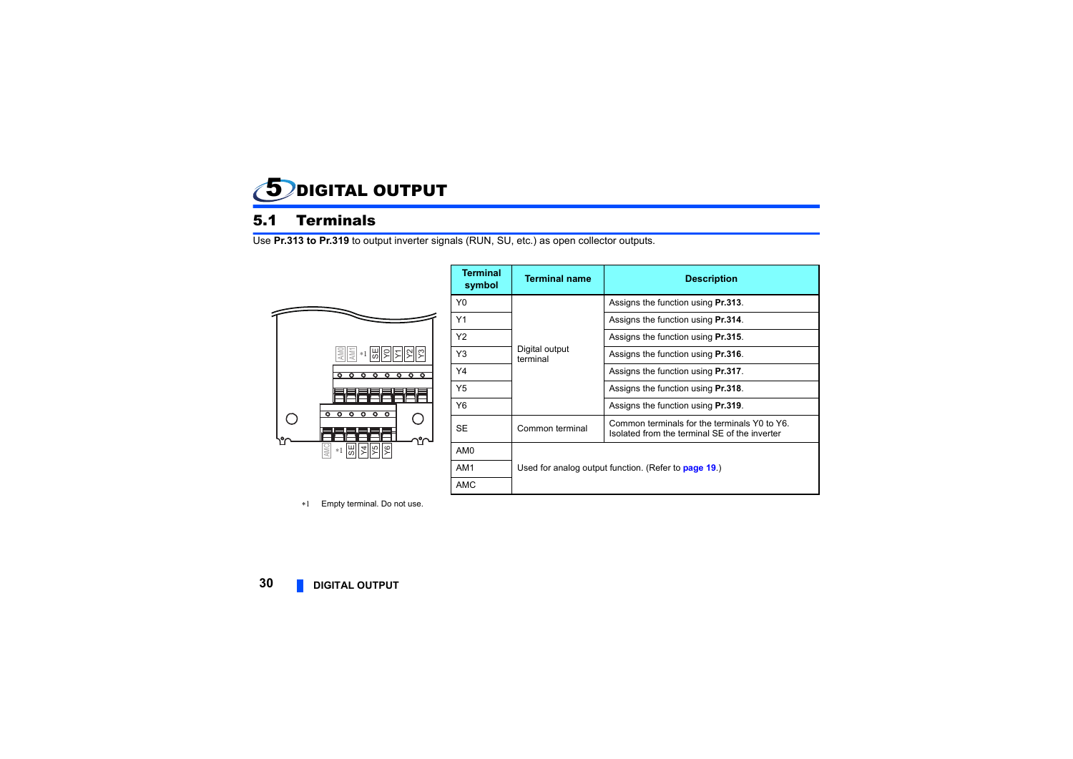<span id="page-28-1"></span><span id="page-28-0"></span>

## <span id="page-28-2"></span>5.1 Terminals

Use **Pr.313 to Pr.319** to output inverter signals (RUN, SU, etc.) as open collector outputs.



| <b>Terminal</b><br>symbol | <b>Terminal name</b>                                        | <b>Description</b>                                                                            |
|---------------------------|-------------------------------------------------------------|-----------------------------------------------------------------------------------------------|
| Y0                        | Digital output<br>terminal                                  | Assigns the function using Pr.313.                                                            |
| Y1                        |                                                             | Assigns the function using Pr.314.                                                            |
| Y2                        |                                                             | Assigns the function using <b>Pr.315</b> .                                                    |
| Y3                        |                                                             | Assigns the function using <b>Pr.316</b> .                                                    |
| Y4                        |                                                             | Assigns the function using <b>Pr.317</b> .                                                    |
| Y5                        |                                                             | Assigns the function using Pr.318.                                                            |
| Y6                        |                                                             | Assigns the function using Pr.319.                                                            |
| SE                        | Common terminal                                             | Common terminals for the terminals Y0 to Y6.<br>Isolated from the terminal SE of the inverter |
| AM <sub>0</sub>           |                                                             |                                                                                               |
| AM1                       | Used for analog output function. (Refer to <b>page 19.)</b> |                                                                                               |
| <b>AMC</b>                |                                                             |                                                                                               |

 $*1$ Empty terminal. Do not use.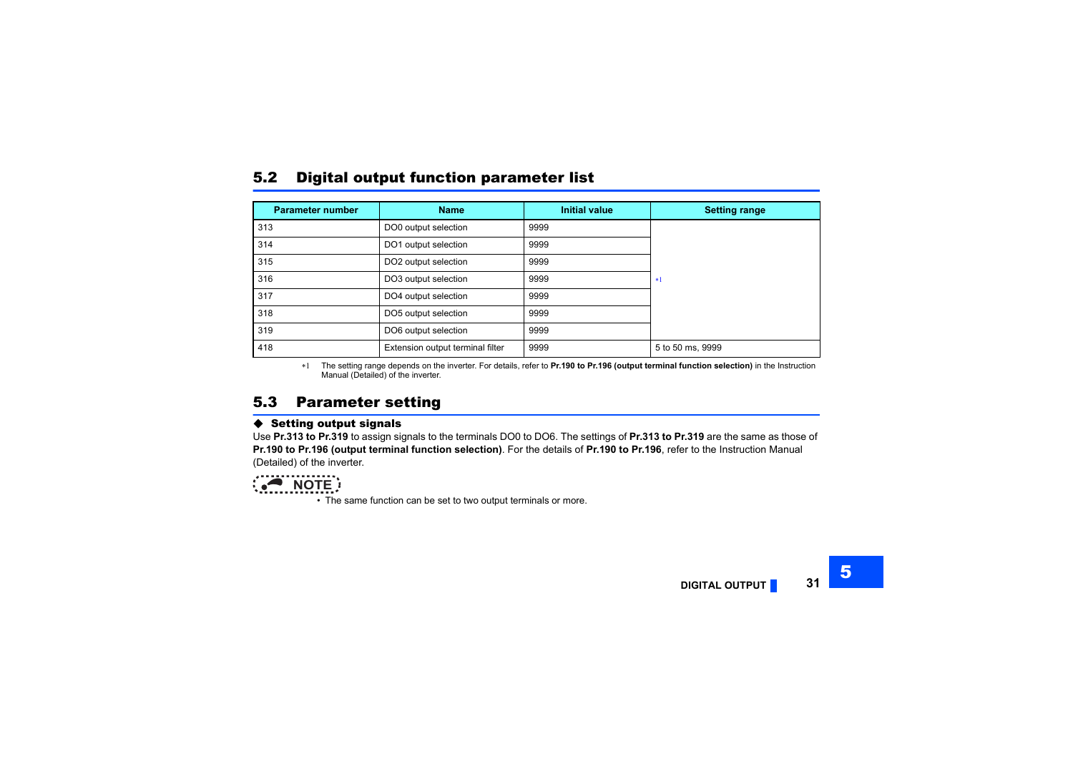### <span id="page-29-0"></span>5.2 Digital output function parameter list

| <b>Parameter number</b> | <b>Name</b>                      | <b>Initial value</b> | <b>Setting range</b> |
|-------------------------|----------------------------------|----------------------|----------------------|
| 313                     | DO0 output selection             | 9999                 |                      |
| 314                     | DO1 output selection             | 9999                 |                      |
| 315                     | DO2 output selection             | 9999                 |                      |
| 316                     | DO3 output selection             | 9999                 | $*1$                 |
| 317                     | DO4 output selection             | 9999                 |                      |
| 318                     | DO5 output selection             | 9999                 |                      |
| 319                     | DO6 output selection             | 9999                 |                      |
| 418                     | Extension output terminal filter | 9999                 | 5 to 50 ms, 9999     |

 The setting range depends on the inverter. For details, refer to **Pr.190 to Pr.196 (output terminal function selection)** in the Instruction Manual (Detailed) of the inverter.

### <span id="page-29-2"></span><span id="page-29-1"></span>5.3 Parameter setting

#### $\blacklozenge$  Setting output signals

Use **Pr.313 to Pr.319** to assign signals to the terminals DO0 to DO6. The settings of **Pr.313 to Pr.319** are the same as those of **Pr.190 to Pr.196 (output terminal function selection)**. For the details of **Pr.190 to Pr.196**, refer to the Instruction Manual (Detailed) of the inverter.



• The same function can be set to two output terminals or more.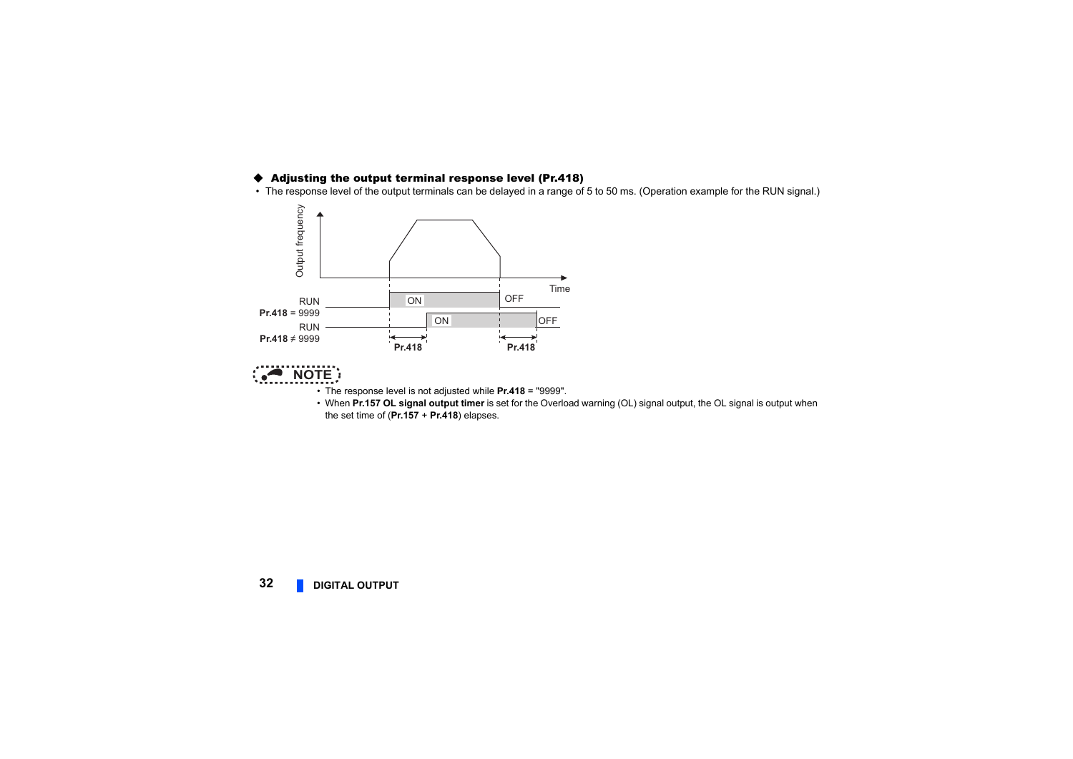#### ♦ Adjusting the output terminal response level (Pr.418)

• The response level of the output terminals can be delayed in a range of 5 to 50 ms. (Operation example for the RUN signal.)





- The response level is not adjusted while **Pr.418** <sup>=</sup>"9999".
- When **Pr.157 OL signal output timer** is set for the Overload warning (OL) signal output, the OL signal is output when the set time of (**Pr.157** <sup>+</sup>**Pr.418**) elapses.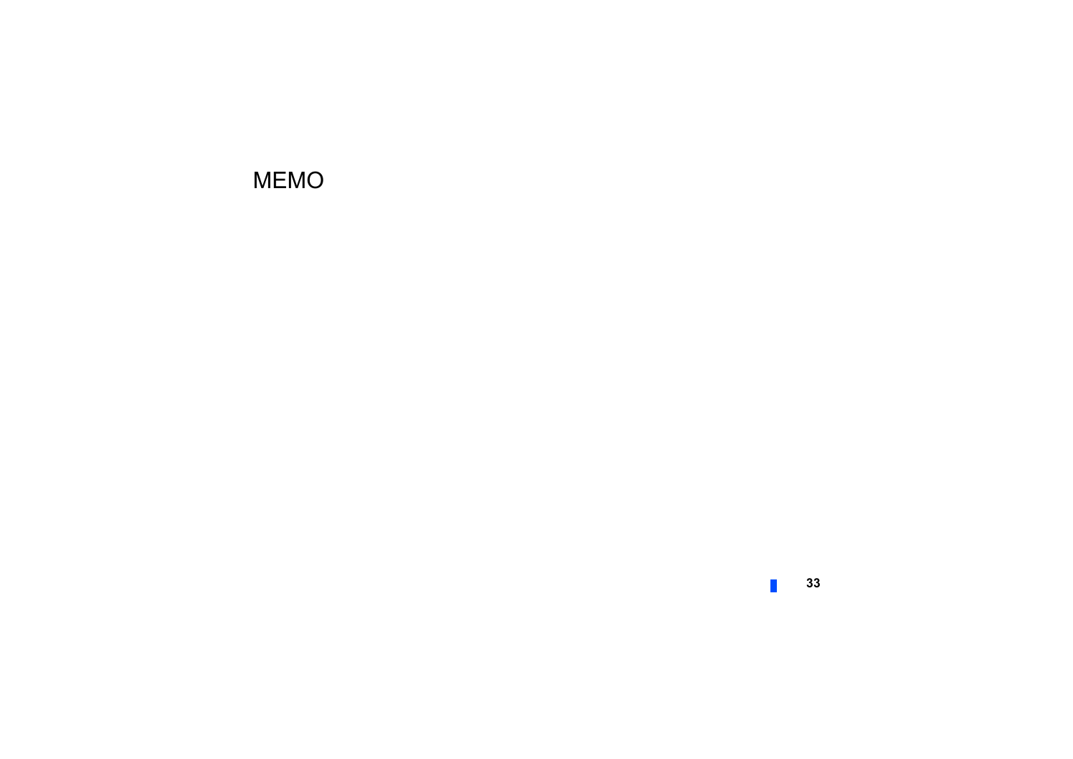# MEMO

 $\Box$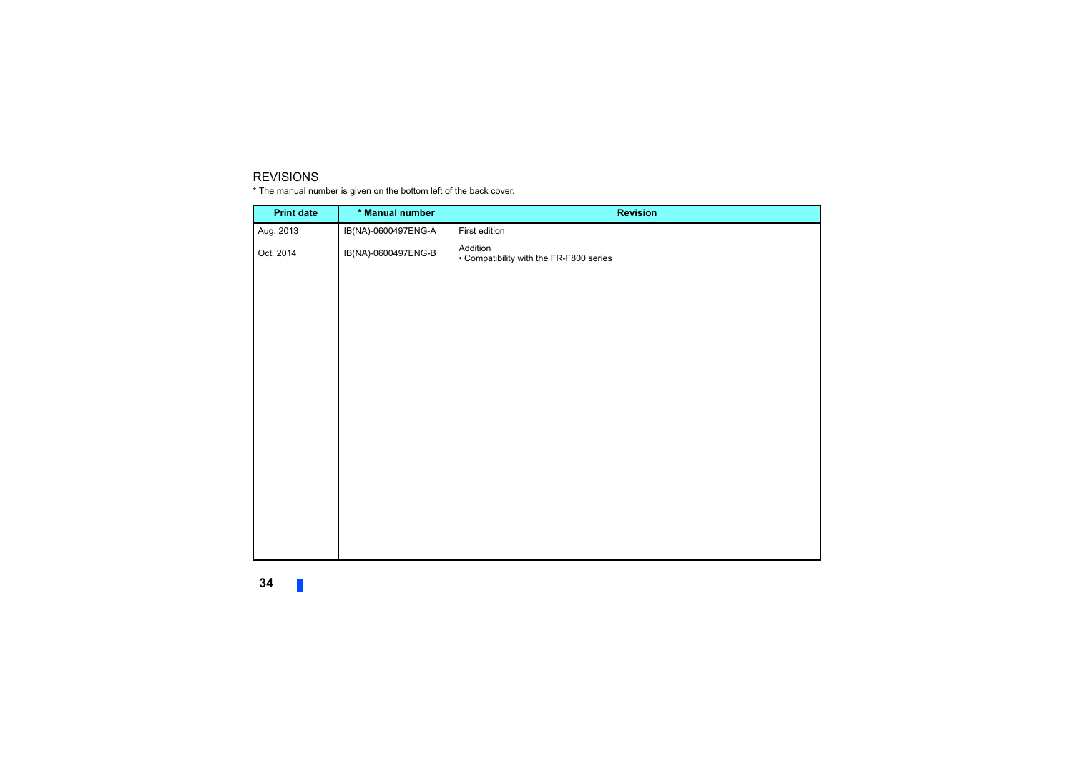#### REVISIONS

\* The manual number is given on the bottom left of the back cover.

<span id="page-32-0"></span>

| <b>Print date</b> | * Manual number     | <b>Revision</b>                                     |
|-------------------|---------------------|-----------------------------------------------------|
| Aug. 2013         | IB(NA)-0600497ENG-A | First edition                                       |
| Oct. 2014         | IB(NA)-0600497ENG-B | Addition<br>• Compatibility with the FR-F800 series |
|                   |                     |                                                     |
|                   |                     |                                                     |
|                   |                     |                                                     |
|                   |                     |                                                     |
|                   |                     |                                                     |
|                   |                     |                                                     |
|                   |                     |                                                     |
|                   |                     |                                                     |
|                   |                     |                                                     |
|                   |                     |                                                     |
|                   |                     |                                                     |
|                   |                     |                                                     |